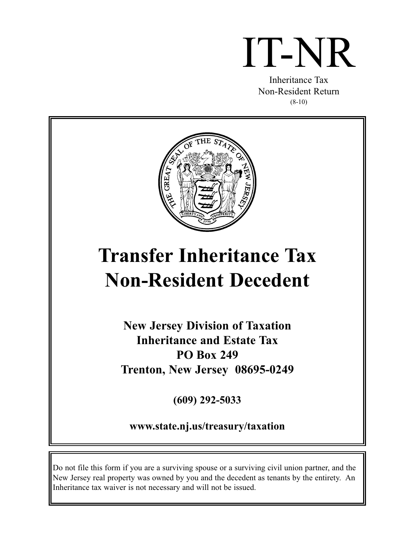# IT-NR

Inheritance Tax Non-Resident Return (8-10)



# **Transfer Inheritance Tax Non-Resident Decedent**

**New Jersey Division of Taxation Inheritance and Estate Tax PO Box 249 Trenton, New Jersey 08695-0249**

**(609) 292-5033**

**www.state.nj.us/treasury/taxation**

Do not file this form if you are a surviving spouse or a surviving civil union partner, and the New Jersey real property was owned by you and the decedent as tenants by the entirety. An Inheritance tax waiver is not necessary and will not be issued.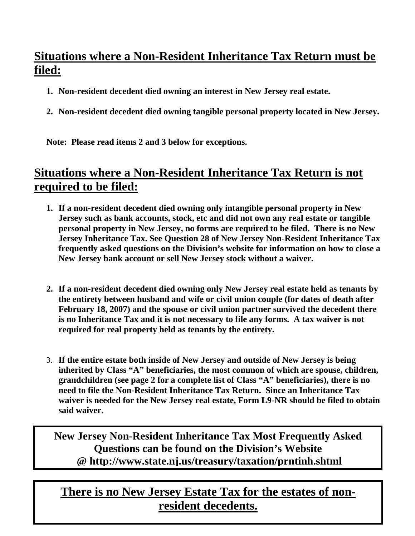# **Situations where a Non-Resident Inheritance Tax Return must be filed:**

- **1. Non-resident decedent died owning an interest in New Jersey real estate.**
- **2. Non-resident decedent died owning tangible personal property located in New Jersey.**

**Note: Please read items 2 and 3 below for exceptions.** 

# **Situations where a Non-Resident Inheritance Tax Return is not required to be filed:**

- **1. If a non-resident decedent died owning only intangible personal property in New Jersey such as bank accounts, stock, etc and did not own any real estate or tangible personal property in New Jersey, no forms are required to be filed. There is no New Jersey Inheritance Tax. See Question 28 of New Jersey Non-Resident Inheritance Tax frequently asked questions on the Division's website for information on how to close a New Jersey bank account or sell New Jersey stock without a waiver.**
- **2. If a non-resident decedent died owning only New Jersey real estate held as tenants by the entirety between husband and wife or civil union couple (for dates of death after February 18, 2007) and the spouse or civil union partner survived the decedent there is no Inheritance Tax and it is not necessary to file any forms. A tax waiver is not required for real property held as tenants by the entirety.**
- 3. **If the entire estate both inside of New Jersey and outside of New Jersey is being inherited by Class "A" beneficiaries, the most common of which are spouse, children, grandchildren (see page 2 for a complete list of Class "A" beneficiaries), there is no need to file the Non-Resident Inheritance Tax Return. Since an Inheritance Tax waiver is needed for the New Jersey real estate, Form L9-NR should be filed to obtain said waiver.**

**New Jersey Non-Resident Inheritance Tax Most Frequently Asked Questions can be found on the Division's Website @ http://www.state.nj.us/treasury/taxation/prntinh.shtml**

# 4 **resident decedents. There is no New Jersey Estate Tax for the estates of non-**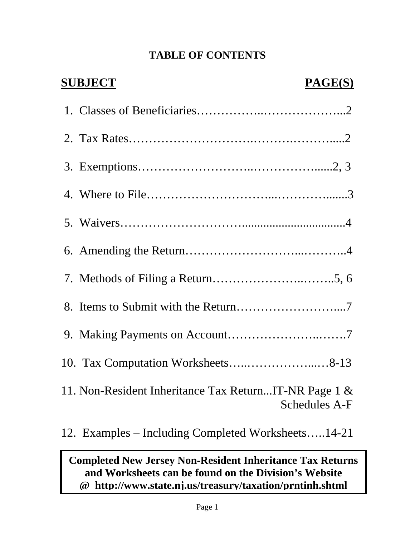# **TABLE OF CONTENTS**

| <b>SUBJECT</b><br>PAGE(S)                                                     |
|-------------------------------------------------------------------------------|
|                                                                               |
|                                                                               |
|                                                                               |
|                                                                               |
|                                                                               |
|                                                                               |
|                                                                               |
|                                                                               |
|                                                                               |
|                                                                               |
| 11. Non-Resident Inheritance Tax ReturnIT-NR Page 1 &<br><b>Schedules A-F</b> |
| 12. Examples – Including Completed Worksheets14-21                            |

# **Completed New Jersey Non-Resident Inheritance Tax Returns and Worksheets can be found on the Division's Website @ http://www.state.nj.us/treasury/taxation/prntinh.shtml**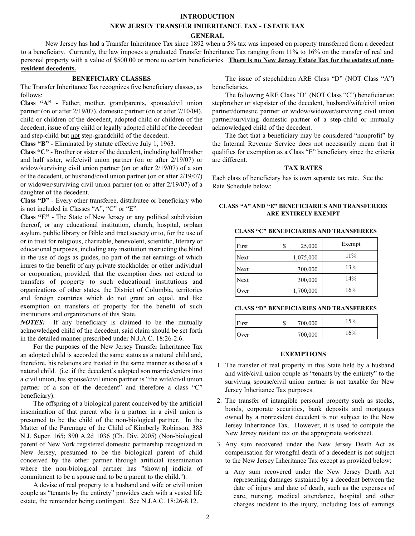#### **INTRODUCTION**

# **NEW JERSEY TRANSFER INHERITANCE TAX - ESTATE TAX**

**GENERAL**

New Jersey has had a Transfer Inheritance Tax since 1892 when a 5% tax was imposed on property transferred from a decedent to a beneficiary. Currently, the law imposes a graduated Transfer Inheritance Tax ranging from 11% to 16% on the transfer of real and personal property with a value of \$500.00 or more to certain beneficiaries. **There is no New Jersey Estate Tax for the estates of nonresident decedents.**

# **BENEFICIARY CLASSES**

The Transfer Inheritance Tax recognizes five beneficiary classes, as follows:

**Class "A"** - Father, mother, grandparents, spouse/civil union partner (on or after 2/19/07), domestic partner (on or after 7/10/04), child or children of the decedent, adopted child or children of the decedent, issue of any child or legally adopted child of the decedent and step-child but not step-grandchild of the decedent.

**Class "B"** - Eliminated by statute effective July 1, 1963.

**Class "C"** - Brother or sister of the decedent, including half brother and half sister, wife/civil union partner (on or after 2/19/07) or widow/surviving civil union partner (on or after 2/19/07) of a son of the decedent, or husband/civil union partner (on or after 2/19/07) or widower/surviving civil union partner (on or after 2/19/07) of a daughter of the decedent.

**Class "D"** - Every other transferee, distributee or beneficiary who is not included in Classes "A", "C" or "E".

**Class "E"** - The State of New Jersey or any political subdivision thereof, or any educational institution, church, hospital, orphan asylum, public library or Bible and tract society or to, for the use of or in trust for religious, charitable, benevolent, scientific, literary or educational purposes, including any institution instructing the blind in the use of dogs as guides, no part of the net earnings of which inures to the benefit of any private stockholder or other individual or corporation; provided, that the exemption does not extend to transfers of property to such educational institutions and organizations of other states, the District of Columbia, territories and foreign countries which do not grant an equal, and like exemption on transfers of property for the benefit of such institutions and organizations of this State.

*NOTES:* If any beneficiary is claimed to be the mutually acknowledged child of the decedent, said claim should be set forth in the detailed manner prescribed under N.J.A.C. 18:26-2.6.

For the purposes of the New Jersey Transfer Inheritance Tax an adopted child is accorded the same status as a natural child and, therefore, his relations are treated in the same manner as those of a natural child. (i.e. if the decedent's adopted son marries/enters into a civil union, his spouse/civil union partner is "the wife/civil union partner of a son of the decedent" and therefore a class "C" beneficiary).

The offspring of a biological parent conceived by the artificial insemination of that parent who is a partner in a civil union is presumed to be the child of the non-biological partner. In the Matter of the Parentage of the Child of Kimberly Robinson, 383 N.J. Super. 165; 890 A.2d 1036 (Ch. Div. 2005) (Non-biological parent of New York registered domestic partnership recognized in New Jersey, presumed to be the biological parent of child conceived by the other partner through artificial insemination where the non-biological partner has "show[n] indicia of commitment to be a spouse and to be a parent to the child.").

A devise of real property to a husband and wife or civil union couple as "tenants by the entirety" provides each with a vested life estate, the remainder being contingent. See N.J.A.C. 18:26-8.12.

The issue of stepchildren ARE Class "D" (NOT Class "A") beneficiaries.

The following ARE Class "D" (NOT Class "C") beneficiaries: stepbrother or stepsister of the decedent, husband/wife/civil union partner/domestic partner or widow/widower/surviving civil union partner/surviving domestic partner of a step-child or mutually acknowledged child of the decedent.

The fact that a beneficiary may be considered "nonprofit" by the Internal Revenue Service does not necessarily mean that it qualifies for exemption as a Class "E" beneficiary since the criteria are different.

#### **TAX RATES**

Each class of beneficiary has is own separate tax rate. See the Rate Schedule below:

#### **CLASS "A" AND "E" BENEFICIARIES AND TRANSFEREES ARE ENTIRELY EXEMPT \_\_\_\_\_\_\_\_\_\_\_\_\_\_\_\_\_\_\_\_\_\_\_\_\_\_\_\_\_\_\_\_\_**

## **CLASS "C" BENEFICIARIES AND TRANSFEREES**

| First       | S | 25,000    | Exempt |
|-------------|---|-----------|--------|
| Next        |   | 1,075,000 | 11%    |
| Next        |   | 300,000   | 13%    |
| <b>Next</b> |   | 300,000   | 14%    |
| Over        |   | 1,700,000 | 16%    |

#### **CLASS "D" BENEFICIARIES AND TRANSFEREES**

| First | 700,000 | 15% |
|-------|---------|-----|
| Over  | 700,000 | 16% |

#### **EXEMPTIONS**

- 1. The transfer of real property in this State held by a husband and wife/civil union couple as "tenants by the entirety" to the surviving spouse/civil union partner is not taxable for New Jersey Inheritance Tax purposes.
- 2. The transfer of intangible personal property such as stocks, bonds, corporate securities, bank deposits and mortgages owned by a nonresident decedent is not subject to the New Jersey Inheritance Tax. However, it is used to compute the New Jersey resident tax on the appropriate worksheet.
- 3. Any sum recovered under the New Jersey Death Act as compensation for wrongful death of a decedent is not subject to the New Jersey Inheritance Tax except as provided below:
	- a. Any sum recovered under the New Jersey Death Act representing damages sustained by a decedent between the date of injury and date of death, such as the expenses of care, nursing, medical attendance, hospital and other charges incident to the injury, including loss of earnings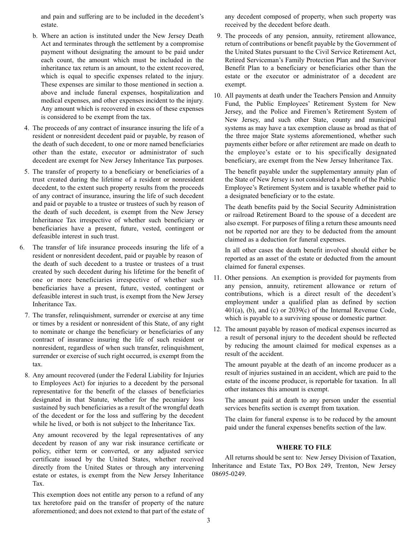and pain and suffering are to be included in the decedent's estate.

- b. Where an action is instituted under the New Jersey Death Act and terminates through the settlement by a compromise payment without designating the amount to be paid under each count, the amount which must be included in the inheritance tax return is an amount, to the extent recovered, which is equal to specific expenses related to the injury. These expenses are similar to those mentioned in section a. above and include funeral expenses, hospitalization and medical expenses, and other expenses incident to the injury. Any amount which is recovered in excess of these expenses is considered to be exempt from the tax.
- 4. The proceeds of any contract of insurance insuring the life of a resident or nonresident decedent paid or payable, by reason of the death of such decedent, to one or more named beneficiaries other than the estate, executor or administrator of such decedent are exempt for New Jersey Inheritance Tax purposes.
- 5. The transfer of property to a beneficiary or beneficiaries of a trust created during the lifetime of a resident or nonresident decedent, to the extent such property results from the proceeds of any contract of insurance, insuring the life of such decedent and paid or payable to a trustee or trustees of such by reason of the death of such decedent, is exempt from the New Jersey Inheritance Tax irrespective of whether such beneficiary or beneficiaries have a present, future, vested, contingent or defeasible interest in such trust.
- 6. The transfer of life insurance proceeds insuring the life of a resident or nonresident decedent, paid or payable by reason of the death of such decedent to a trustee or trustees of a trust created by such decedent during his lifetime for the benefit of one or more beneficiaries irrespective of whether such beneficiaries have a present, future, vested, contingent or defeasible interest in such trust, is exempt from the New Jersey Inheritance Tax.
	- 7. The transfer, relinquishment, surrender or exercise at any time or times by a resident or nonresident of this State, of any right to nominate or change the beneficiary or beneficiaries of any contract of insurance insuring the life of such resident or nonresident, regardless of when such transfer, relinquishment, surrender or exercise of such right occurred, is exempt from the tax.
	- 8. Any amount recovered (under the Federal Liability for Injuries to Employees Act) for injuries to a decedent by the personal representative for the benefit of the classes of beneficiaries designated in that Statute, whether for the pecuniary loss sustained by such beneficiaries as a result of the wrongful death of the decedent or for the loss and suffering by the decedent while he lived, or both is not subject to the Inheritance Tax.

Any amount recovered by the legal representatives of any decedent by reason of any war risk insurance certificate or policy, either term or converted, or any adjusted service certificate issued by the United States, whether received directly from the United States or through any intervening estate or estates, is exempt from the New Jersey Inheritance Tax.

This exemption does not entitle any person to a refund of any tax heretofore paid on the transfer of property of the nature aforementioned; and does not extend to that part of the estate of

any decedent composed of property, when such property was received by the decedent before death.

- 9. The proceeds of any pension, annuity, retirement allowance, return of contributions or benefit payable by the Government of the United States pursuant to the Civil Service Retirement Act, Retired Serviceman's Family Protection Plan and the Survivor Benefit Plan to a beneficiary or beneficiaries other than the estate or the executor or administrator of a decedent are exempt.
- 10. All payments at death under the Teachers Pension and Annuity Fund, the Public Employees' Retirement System for New Jersey, and the Police and Firemen's Retirement System of New Jersey, and such other State, county and municipal systems as may have a tax exemption clause as broad as that of the three major State systems aforementioned, whether such payments either before or after retirement are made on death to the employee's estate or to his specifically designated beneficiary, are exempt from the New Jersey Inheritance Tax.

The benefit payable under the supplementary annuity plan of the State of New Jersey is not considered a benefit of the Public Employee's Retirement System and is taxable whether paid to a designated beneficiary or to the estate.

The death benefits paid by the Social Security Administration or railroad Retirement Board to the spouse of a decedent are also exempt. For purposes of filing a return these amounts need not be reported nor are they to be deducted from the amount claimed as a deduction for funeral expenses.

In all other cases the death benefit involved should either be reported as an asset of the estate or deducted from the amount claimed for funeral expenses.

- 11. Other pensions. An exemption is provided for payments from any pension, annuity, retirement allowance or return of contributions, which is a direct result of the decedent's employment under a qualified plan as defined by section 401(a), (b), and (c) or 2039(c) of the Internal Revenue Code, which is payable to a surviving spouse or domestic partner.
- 12. The amount payable by reason of medical expenses incurred as a result of personal injury to the decedent should be reflected by reducing the amount claimed for medical expenses as a result of the accident.

The amount payable at the death of an income producer as a result of injuries sustained in an accident, which are paid to the estate of the income producer, is reportable for taxation. In all other instances this amount is exempt.

The amount paid at death to any person under the essential services benefits section is exempt from taxation.

The claim for funeral expense is to be reduced by the amount paid under the funeral expenses benefits section of the law.

## **WHERE TO FILE**

All returns should be sent to: New Jersey Division of Taxation, Inheritance and Estate Tax, PO Box 249, Trenton, New Jersey 08695-0249.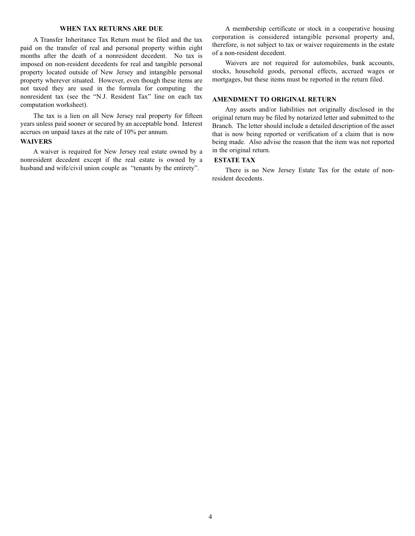#### **WHEN TAX RETURNS ARE DUE**

A Transfer Inheritance Tax Return must be filed and the tax paid on the transfer of real and personal property within eight months after the death of a nonresident decedent. No tax is imposed on non-resident decedents for real and tangible personal property located outside of New Jersey and intangible personal property wherever situated. However, even though these items are not taxed they are used in the formula for computing the nonresident tax (see the "N.J. Resident Tax" line on each tax computation worksheet).

The tax is a lien on all New Jersey real property for fifteen years unless paid sooner or secured by an acceptable bond. Interest accrues on unpaid taxes at the rate of 10% per annum.

#### **WAIVERS**

A waiver is required for New Jersey real estate owned by a nonresident decedent except if the real estate is owned by a husband and wife/civil union couple as "tenants by the entirety".

A membership certificate or stock in a cooperative housing corporation is considered intangible personal property and, therefore, is not subject to tax or waiver requirements in the estate of a non-resident decedent.

Waivers are not required for automobiles, bank accounts, stocks, household goods, personal effects, accrued wages or mortgages, but these items must be reported in the return filed.

#### **AMENDMENT TO ORIGINAL RETURN**

Any assets and/or liabilities not originally disclosed in the original return may be filed by notarized letter and submitted to the Branch. The letter should include a detailed description of the asset that is now being reported or verification of a claim that is now being made. Also advise the reason that the item was not reported in the original return.

#### **ESTATE TAX**

There is no New Jersey Estate Tax for the estate of nonresident decedents.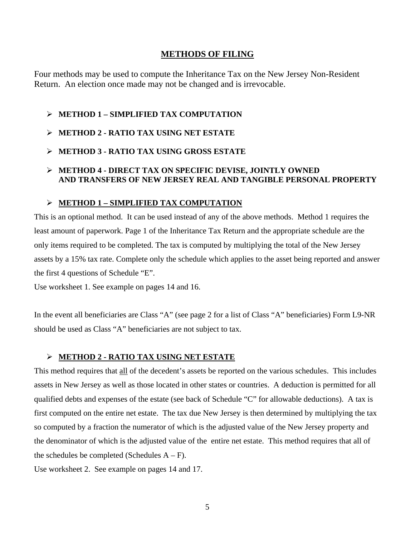# **METHODS OF FILING**

Four methods may be used to compute the Inheritance Tax on the New Jersey Non-Resident Return. An election once made may not be changed and is irrevocable.

- **METHOD 1 SIMPLIFIED TAX COMPUTATION**
- **METHOD 2 RATIO TAX USING NET ESTATE**
- **METHOD 3 RATIO TAX USING GROSS ESTATE**
- **METHOD 4 DIRECT TAX ON SPECIFIC DEVISE, JOINTLY OWNED AND TRANSFERS OF NEW JERSEY REAL AND TANGIBLE PERSONAL PROPERTY**

# **METHOD 1 – SIMPLIFIED TAX COMPUTATION**

This is an optional method. It can be used instead of any of the above methods. Method 1 requires the least amount of paperwork. Page 1 of the Inheritance Tax Return and the appropriate schedule are the only items required to be completed. The tax is computed by multiplying the total of the New Jersey assets by a 15% tax rate. Complete only the schedule which applies to the asset being reported and answer the first 4 questions of Schedule "E".

Use worksheet 1. See example on pages 14 and 16.

In the event all beneficiaries are Class "A" (see page 2 for a list of Class "A" beneficiaries) Form L9-NR should be used as Class "A" beneficiaries are not subject to tax.

# **METHOD 2 - RATIO TAX USING NET ESTATE**

This method requires that all of the decedent's assets be reported on the various schedules. This includes assets in New Jersey as well as those located in other states or countries. A deduction is permitted for all qualified debts and expenses of the estate (see back of Schedule "C" for allowable deductions). A tax is first computed on the entire net estate. The tax due New Jersey is then determined by multiplying the tax so computed by a fraction the numerator of which is the adjusted value of the New Jersey property and the denominator of which is the adjusted value of the entire net estate. This method requires that all of the schedules be completed (Schedules  $A - F$ ).

Use worksheet 2. See example on pages 14 and 17.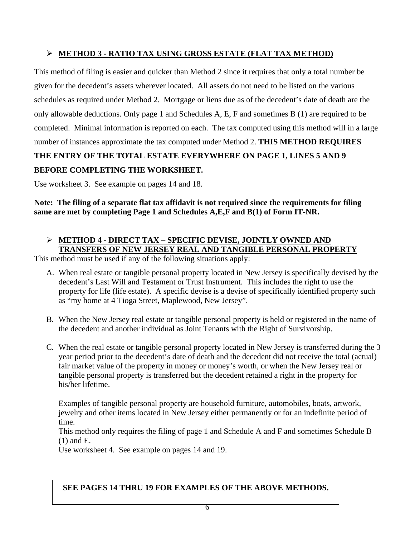# **METHOD 3 - RATIO TAX USING GROSS ESTATE (FLAT TAX METHOD)**

This method of filing is easier and quicker than Method 2 since it requires that only a total number be given for the decedent's assets wherever located. All assets do not need to be listed on the various schedules as required under Method 2. Mortgage or liens due as of the decedent's date of death are the only allowable deductions. Only page 1 and Schedules A, E, F and sometimes B (1) are required to be completed. Minimal information is reported on each. The tax computed using this method will in a large number of instances approximate the tax computed under Method 2. **THIS METHOD REQUIRES** 

# **THE ENTRY OF THE TOTAL ESTATE EVERYWHERE ON PAGE 1, LINES 5 AND 9 BEFORE COMPLETING THE WORKSHEET.**

Use worksheet 3. See example on pages 14 and 18.

**Note: The filing of a separate flat tax affidavit is not required since the requirements for filing same are met by completing Page 1 and Schedules A,E,F and B(1) of Form IT-NR.** 

# **METHOD 4 - DIRECT TAX – SPECIFIC DEVISE, JOINTLY OWNED AND TRANSFERS OF NEW JERSEY REAL AND TANGIBLE PERSONAL PROPERTY**

This method must be used if any of the following situations apply:

- A. When real estate or tangible personal property located in New Jersey is specifically devised by the decedent's Last Will and Testament or Trust Instrument. This includes the right to use the property for life (life estate). A specific devise is a devise of specifically identified property such as "my home at 4 Tioga Street, Maplewood, New Jersey".
- B. When the New Jersey real estate or tangible personal property is held or registered in the name of the decedent and another individual as Joint Tenants with the Right of Survivorship.
- C. When the real estate or tangible personal property located in New Jersey is transferred during the 3 year period prior to the decedent's date of death and the decedent did not receive the total (actual) fair market value of the property in money or money's worth, or when the New Jersey real or tangible personal property is transferred but the decedent retained a right in the property for his/her lifetime.

Examples of tangible personal property are household furniture, automobiles, boats, artwork, jewelry and other items located in New Jersey either permanently or for an indefinite period of time.

This method only requires the filing of page 1 and Schedule A and F and sometimes Schedule B (1) and E.

Use worksheet 4. See example on pages 14 and 19.

# **SEE PAGES 14 THRU 19 FOR EXAMPLES OF THE ABOVE METHODS.**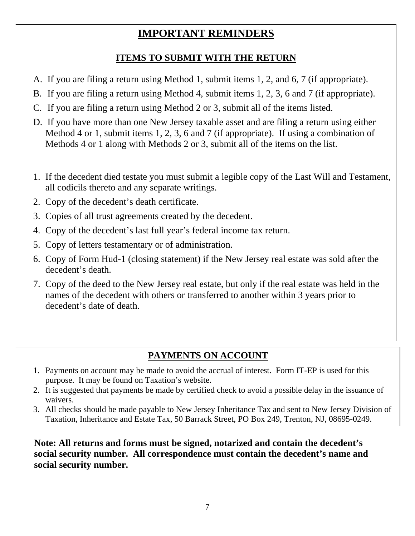# **IMPORTANT REMINDERS**

# **ITEMS TO SUBMIT WITH THE RETURN**

- A. If you are filing a return using Method 1, submit items 1, 2, and 6, 7 (if appropriate).
- B. If you are filing a return using Method 4, submit items 1, 2, 3, 6 and 7 (if appropriate).
- C. If you are filing a return using Method 2 or 3, submit all of the items listed.
- D. If you have more than one New Jersey taxable asset and are filing a return using either Method 4 or 1, submit items 1, 2, 3, 6 and 7 (if appropriate). If using a combination of Methods 4 or 1 along with Methods 2 or 3, submit all of the items on the list.
- 1. If the decedent died testate you must submit a legible copy of the Last Will and Testament, all codicils thereto and any separate writings.
- 2. Copy of the decedent's death certificate.
- 3. Copies of all trust agreements created by the decedent.
- 4. Copy of the decedent's last full year's federal income tax return.
- 5. Copy of letters testamentary or of administration.
- 6. Copy of Form Hud-1 (closing statement) if the New Jersey real estate was sold after the decedent's death.
- 7. Copy of the deed to the New Jersey real estate, but only if the real estate was held in the names of the decedent with others or transferred to another within 3 years prior to decedent's date of death.

# **PAYMENTS ON ACCOUNT**

- 1. Payments on account may be made to avoid the accrual of interest. Form IT-EP is used for this purpose. It may be found on Taxation's website.
- 2. It is suggested that payments be made by certified check to avoid a possible delay in the issuance of waivers.
- 3. All checks should be made payable to New Jersey Inheritance Tax and sent to New Jersey Division of Taxation, Inheritance and Estate Tax, 50 Barrack Street, PO Box 249, Trenton, NJ, 08695-0249.

**Note: All returns and forms must be signed, notarized and contain the decedent's social security number. All correspondence must contain the decedent's name and social security number.**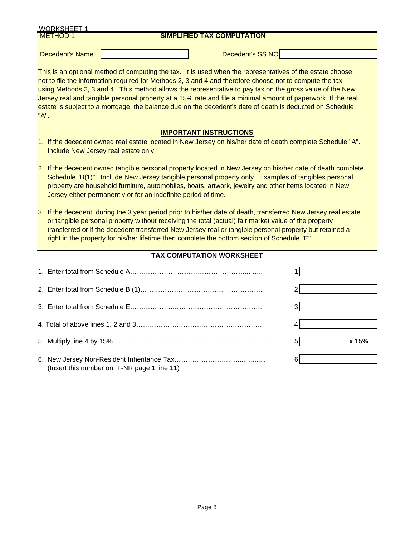| <b>WORKSHEET 1</b> |                                   |  |
|--------------------|-----------------------------------|--|
| <b>METHOD</b>      | <b>SIMPLIFIED TAX COMPUTATION</b> |  |
|                    |                                   |  |

Decedent's Name Name Name Assessment's SS NO

This is an optional method of computing the tax. It is used when the representatives of the estate choose not to file the information required for Methods 2, 3 and 4 and therefore choose not to compute the tax using Methods 2, 3 and 4. This method allows the representative to pay tax on the gross value of the New Jersey real and tangible personal property at a 15% rate and file a minimal amount of paperwork. If the real estate is subject to a mortgage, the balance due on the decedent's date of death is deducted on Schedule "A".

# **IMPORTANT INSTRUCTIONS**

- 1. If the decedent owned real estate located in New Jersey on his/her date of death complete Schedule "A". Include New Jersey real estate only.
- 2. If the decedent owned tangible personal property located in New Jersey on his/her date of death complete Schedule "B(1)" . Include New Jersey tangible personal property only. Examples of tangibles personal property are household furniture, automobiles, boats, artwork, jewelry and other items located in New Jersey either permanently or for an indefinite period of time.
- 3. If the decedent, during the 3 year period prior to his/her date of death, transferred New Jersey real estate or tangible personal property without receiving the total (actual) fair market value of the property transferred or if the decedent transferred New Jersey real or tangible personal property but retained a right in the property for his/her lifetime then complete the bottom section of Schedule "E".

# **TAX COMPUTATION WORKSHEET**

|                                              | x 15% |
|----------------------------------------------|-------|
| (Insert this number on IT-NR page 1 line 11) |       |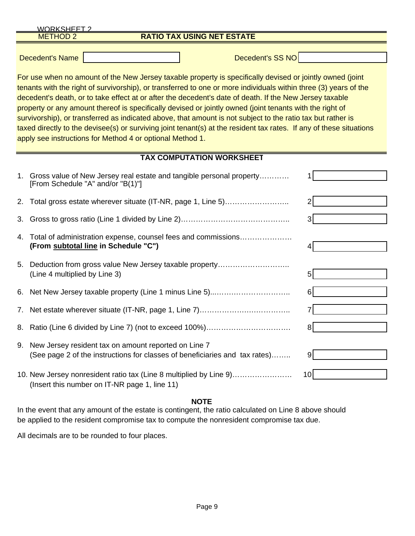|    | <b>WORKSHEFT 2</b>                                                                                                                                                                                                                                                                                                                                                                                                                                                                                                                                                                                                                                                                                                                                                                                    |    |  |  |  |  |  |
|----|-------------------------------------------------------------------------------------------------------------------------------------------------------------------------------------------------------------------------------------------------------------------------------------------------------------------------------------------------------------------------------------------------------------------------------------------------------------------------------------------------------------------------------------------------------------------------------------------------------------------------------------------------------------------------------------------------------------------------------------------------------------------------------------------------------|----|--|--|--|--|--|
|    | <b>RATIO TAX USING NET ESTATE</b><br><b>METHOD 2</b>                                                                                                                                                                                                                                                                                                                                                                                                                                                                                                                                                                                                                                                                                                                                                  |    |  |  |  |  |  |
|    | Decedent's SS NO<br><b>Decedent's Name</b><br>For use when no amount of the New Jersey taxable property is specifically devised or jointly owned (joint<br>tenants with the right of survivorship), or transferred to one or more individuals within three (3) years of the<br>decedent's death, or to take effect at or after the decedent's date of death. If the New Jersey taxable<br>property or any amount thereof is specifically devised or jointly owned (joint tenants with the right of<br>survivorship), or transferred as indicated above, that amount is not subject to the ratio tax but rather is<br>taxed directly to the devisee(s) or surviving joint tenant(s) at the resident tax rates. If any of these situations<br>apply see instructions for Method 4 or optional Method 1. |    |  |  |  |  |  |
|    | <b>TAX COMPUTATION WORKSHEET</b>                                                                                                                                                                                                                                                                                                                                                                                                                                                                                                                                                                                                                                                                                                                                                                      |    |  |  |  |  |  |
|    | 1. Gross value of New Jersey real estate and tangible personal property<br>[From Schedule "A" and/or "B(1)"]                                                                                                                                                                                                                                                                                                                                                                                                                                                                                                                                                                                                                                                                                          |    |  |  |  |  |  |
| 2. | Total gross estate wherever situate (IT-NR, page 1, Line 5)                                                                                                                                                                                                                                                                                                                                                                                                                                                                                                                                                                                                                                                                                                                                           |    |  |  |  |  |  |
| 3. |                                                                                                                                                                                                                                                                                                                                                                                                                                                                                                                                                                                                                                                                                                                                                                                                       |    |  |  |  |  |  |
| 4. | Total of administration expense, counsel fees and commissions<br>(From subtotal line in Schedule "C")                                                                                                                                                                                                                                                                                                                                                                                                                                                                                                                                                                                                                                                                                                 |    |  |  |  |  |  |
| 5. | Deduction from gross value New Jersey taxable property<br>(Line 4 multiplied by Line 3)                                                                                                                                                                                                                                                                                                                                                                                                                                                                                                                                                                                                                                                                                                               | 5  |  |  |  |  |  |
| 6. | Net New Jersey taxable property (Line 1 minus Line 5)                                                                                                                                                                                                                                                                                                                                                                                                                                                                                                                                                                                                                                                                                                                                                 |    |  |  |  |  |  |
| 7. |                                                                                                                                                                                                                                                                                                                                                                                                                                                                                                                                                                                                                                                                                                                                                                                                       |    |  |  |  |  |  |
|    |                                                                                                                                                                                                                                                                                                                                                                                                                                                                                                                                                                                                                                                                                                                                                                                                       | 81 |  |  |  |  |  |
|    | 9. New Jersey resident tax on amount reported on Line 7<br>(See page 2 of the instructions for classes of beneficiaries and tax rates)                                                                                                                                                                                                                                                                                                                                                                                                                                                                                                                                                                                                                                                                | 9  |  |  |  |  |  |
|    | 10. New Jersey nonresident ratio tax (Line 8 multiplied by Line 9)<br>(Insert this number on IT-NR page 1, line 11)                                                                                                                                                                                                                                                                                                                                                                                                                                                                                                                                                                                                                                                                                   | 10 |  |  |  |  |  |

# **NOTE**

In the event that any amount of the estate is contingent, the ratio calculated on Line 8 above should be applied to the resident compromise tax to compute the nonresident compromise tax due.

All decimals are to be rounded to four places.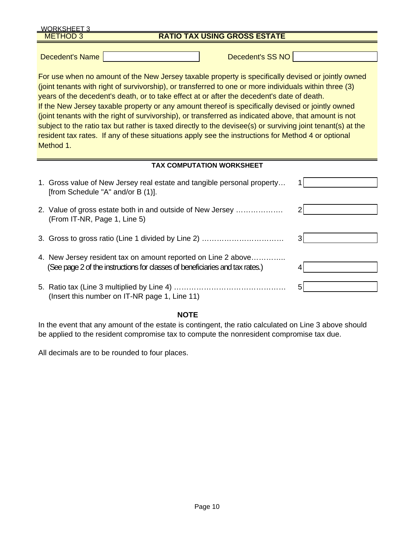| <b>WORKSHEET 3</b>                                                                                                                                                                                                                                                                                                                                                                                                                                                                                                                                                                                                                                                                                                                                         |                                                                                                                                               |   |  |  |  |
|------------------------------------------------------------------------------------------------------------------------------------------------------------------------------------------------------------------------------------------------------------------------------------------------------------------------------------------------------------------------------------------------------------------------------------------------------------------------------------------------------------------------------------------------------------------------------------------------------------------------------------------------------------------------------------------------------------------------------------------------------------|-----------------------------------------------------------------------------------------------------------------------------------------------|---|--|--|--|
| ETHOD 3                                                                                                                                                                                                                                                                                                                                                                                                                                                                                                                                                                                                                                                                                                                                                    | <b>RATIO TAX USING GROSS ESTATE</b>                                                                                                           |   |  |  |  |
| <b>Decedent's Name</b>                                                                                                                                                                                                                                                                                                                                                                                                                                                                                                                                                                                                                                                                                                                                     | Decedent's SS NO                                                                                                                              |   |  |  |  |
| For use when no amount of the New Jersey taxable property is specifically devised or jointly owned<br>(joint tenants with right of survivorship), or transferred to one or more individuals within three (3)<br>years of the decedent's death, or to take effect at or after the decedent's date of death.<br>If the New Jersey taxable property or any amount thereof is specifically devised or jointly owned<br>(joint tenants with the right of survivorship), or transferred as indicated above, that amount is not<br>subject to the ratio tax but rather is taxed directly to the devisee(s) or surviving joint tenant(s) at the<br>resident tax rates. If any of these situations apply see the instructions for Method 4 or optional<br>Method 1. |                                                                                                                                               |   |  |  |  |
|                                                                                                                                                                                                                                                                                                                                                                                                                                                                                                                                                                                                                                                                                                                                                            | <b>TAX COMPUTATION WORKSHEET</b>                                                                                                              |   |  |  |  |
|                                                                                                                                                                                                                                                                                                                                                                                                                                                                                                                                                                                                                                                                                                                                                            | 1. Gross value of New Jersey real estate and tangible personal property<br>[from Schedule "A" and/or B (1)].                                  |   |  |  |  |
|                                                                                                                                                                                                                                                                                                                                                                                                                                                                                                                                                                                                                                                                                                                                                            | 2. Value of gross estate both in and outside of New Jersey<br>(From IT-NR, Page 1, Line 5)                                                    | 2 |  |  |  |
|                                                                                                                                                                                                                                                                                                                                                                                                                                                                                                                                                                                                                                                                                                                                                            |                                                                                                                                               | 3 |  |  |  |
|                                                                                                                                                                                                                                                                                                                                                                                                                                                                                                                                                                                                                                                                                                                                                            | 4. New Jersey resident tax on amount reported on Line 2 above<br>(See page 2 of the instructions for classes of beneficiaries and tax rates.) | 4 |  |  |  |
|                                                                                                                                                                                                                                                                                                                                                                                                                                                                                                                                                                                                                                                                                                                                                            | (Insert this number on IT-NR page 1, Line 11)                                                                                                 | 5 |  |  |  |

# **NOTE**

In the event that any amount of the estate is contingent, the ratio calculated on Line 3 above should be applied to the resident compromise tax to compute the nonresident compromise tax due.

All decimals are to be rounded to four places.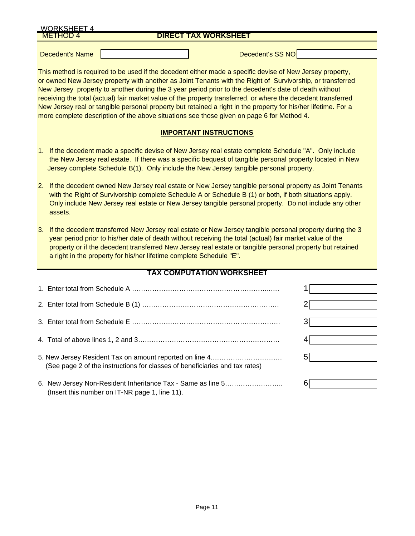| <b>WORKSHEET 4</b> |                             |
|--------------------|-----------------------------|
| <b>METHOD 4</b>    | <b>DIRECT TAX WORKSHEET</b> |
|                    |                             |
| Decedent's Name    | Decedent's SS NO            |

This method is required to be used if the decedent either made a specific devise of New Jersey property, or owned New Jersey property with another as Joint Tenants with the Right of Survivorship, or transferred New Jersey property to another during the 3 year period prior to the decedent's date of death without receiving the total (actual) fair market value of the property transferred, or where the decedent transferred New Jersey real or tangible personal property but retained a right in the property for his/her lifetime. For a more complete description of the above situations see those given on page 6 for Method 4.

# **IMPORTANT INSTRUCTIONS**

- 1. If the decedent made a specific devise of New Jersey real estate complete Schedule "A". Only include the New Jersey real estate. If there was a specific bequest of tangible personal property located in New Jersey complete Schedule B(1). Only include the New Jersey tangible personal property.
- 2. If the decedent owned New Jersey real estate or New Jersey tangible personal property as Joint Tenants with the Right of Survivorship complete Schedule A or Schedule B (1) or both, if both situations apply. Only include New Jersey real estate or New Jersey tangible personal property. Do not include any other assets.
- 3. If the decedent transferred New Jersey real estate or New Jersey tangible personal property during the 3 year period prior to his/her date of death without receiving the total (actual) fair market value of the property or if the decedent transferred New Jersey real estate or tangible personal property but retained a right in the property for his/her lifetime complete Schedule "E".

# **TAX COMPUTATION WORKSHEET**

| 5. New Jersey Resident Tax on amount reported on line 4<br>(See page 2 of the instructions for classes of beneficiaries and tax rates) |  |
|----------------------------------------------------------------------------------------------------------------------------------------|--|
| 6. New Jersey Non-Resident Inheritance Tax - Same as line 5<br>(Insert this number on IT-NR page 1, line 11).                          |  |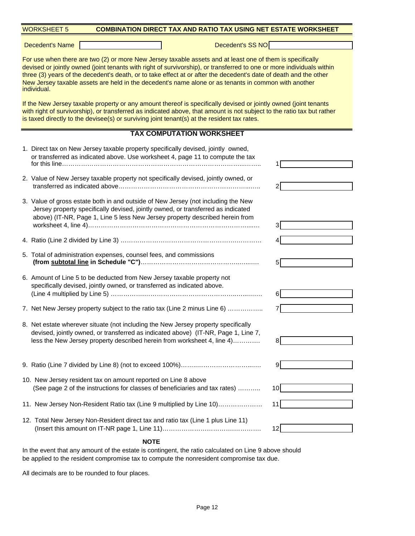| <b>WORKSHEET 5</b><br><b>COMBINATION DIRECT TAX AND RATIO TAX USING NET ESTATE WORKSHEET</b>                                                                                                                                                                                                                                                                                                                                                                                   |                 |  |  |  |  |
|--------------------------------------------------------------------------------------------------------------------------------------------------------------------------------------------------------------------------------------------------------------------------------------------------------------------------------------------------------------------------------------------------------------------------------------------------------------------------------|-----------------|--|--|--|--|
| Decedent's SS NO<br><b>Decedent's Name</b>                                                                                                                                                                                                                                                                                                                                                                                                                                     |                 |  |  |  |  |
| For use when there are two (2) or more New Jersey taxable assets and at least one of them is specifically<br>devised or jointly owned (joint tenants with right of survivorship), or transferred to one or more individuals within<br>three (3) years of the decedent's death, or to take effect at or after the decedent's date of death and the other<br>New Jersey taxable assets are held in the decedent's name alone or as tenants in common with another<br>individual. |                 |  |  |  |  |
| If the New Jersey taxable property or any amount thereof is specifically devised or jointly owned (joint tenants<br>with right of survivorship), or transferred as indicated above, that amount is not subject to the ratio tax but rather<br>is taxed directly to the devisee(s) or surviving joint tenant(s) at the resident tax rates.                                                                                                                                      |                 |  |  |  |  |
| <b>TAX COMPUTATION WORKSHEET</b>                                                                                                                                                                                                                                                                                                                                                                                                                                               |                 |  |  |  |  |
| 1. Direct tax on New Jersey taxable property specifically devised, jointly owned,<br>or transferred as indicated above. Use worksheet 4, page 11 to compute the tax                                                                                                                                                                                                                                                                                                            |                 |  |  |  |  |
| 2. Value of New Jersey taxable property not specifically devised, jointly owned, or                                                                                                                                                                                                                                                                                                                                                                                            |                 |  |  |  |  |
| 3. Value of gross estate both in and outside of New Jersey (not including the New<br>Jersey property specifically devised, jointly owned, or transferred as indicated<br>above) (IT-NR, Page 1, Line 5 less New Jersey property described herein from                                                                                                                                                                                                                          |                 |  |  |  |  |
|                                                                                                                                                                                                                                                                                                                                                                                                                                                                                |                 |  |  |  |  |
| 5. Total of administration expenses, counsel fees, and commissions                                                                                                                                                                                                                                                                                                                                                                                                             | 5               |  |  |  |  |
| 6. Amount of Line 5 to be deducted from New Jersey taxable property not<br>specifically devised, jointly owned, or transferred as indicated above.                                                                                                                                                                                                                                                                                                                             | 6               |  |  |  |  |
| 7. Net New Jersey property subject to the ratio tax (Line 2 minus Line 6)                                                                                                                                                                                                                                                                                                                                                                                                      |                 |  |  |  |  |
| 8. Net estate wherever situate (not including the New Jersey property specifically<br>devised, jointly owned, or transferred as indicated above) (IT-NR, Page 1, Line 7,<br>less the New Jersey property described herein from worksheet 4, line 4)                                                                                                                                                                                                                            | 81              |  |  |  |  |
|                                                                                                                                                                                                                                                                                                                                                                                                                                                                                | 91              |  |  |  |  |
| 10. New Jersey resident tax on amount reported on Line 8 above<br>(See page 2 of the instructions for classes of beneficiaries and tax rates)                                                                                                                                                                                                                                                                                                                                  | 10              |  |  |  |  |
| 11. New Jersey Non-Resident Ratio tax (Line 9 multiplied by Line 10)                                                                                                                                                                                                                                                                                                                                                                                                           | 11              |  |  |  |  |
| 12. Total New Jersey Non-Resident direct tax and ratio tax (Line 1 plus Line 11)                                                                                                                                                                                                                                                                                                                                                                                               | 12 <sub>l</sub> |  |  |  |  |
| <b>NOTE</b>                                                                                                                                                                                                                                                                                                                                                                                                                                                                    |                 |  |  |  |  |

In the event that any amount of the estate is contingent, the ratio calculated on Line 9 above should be applied to the resident compromise tax to compute the nonresident compromise tax due.

All decimals are to be rounded to four places.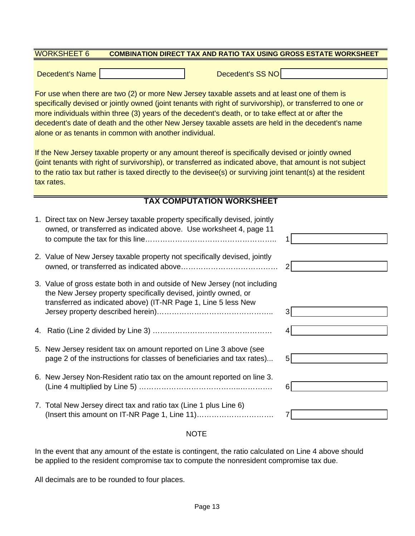#### WORKSHEET 6 **COMBINATION DIRECT TAX AND RATIO TAX USING GROSS ESTATE WORKSHEET**

Decedent's Name New York Change of The Decedent's SS NO

For use when there are two (2) or more New Jersey taxable assets and at least one of them is specifically devised or jointly owned (joint tenants with right of survivorship), or transferred to one or more individuals within three (3) years of the decedent's death, or to take effect at or after the decedent's date of death and the other New Jersey taxable assets are held in the decedent's name alone or as tenants in common with another individual.

If the New Jersey taxable property or any amount thereof is specifically devised or jointly owned (joint tenants with right of survivorship), or transferred as indicated above, that amount is not subject to the ratio tax but rather is taxed directly to the devisee(s) or surviving joint tenant(s) at the resident tax rates.

# **TAX COMPUTATION WORKSHEET**

| 1. Direct tax on New Jersey taxable property specifically devised, jointly<br>owned, or transferred as indicated above. Use worksheet 4, page 11                                                               |    |
|----------------------------------------------------------------------------------------------------------------------------------------------------------------------------------------------------------------|----|
| 2. Value of New Jersey taxable property not specifically devised, jointly                                                                                                                                      |    |
| 3. Value of gross estate both in and outside of New Jersey (not including<br>the New Jersey property specifically devised, jointly owned, or<br>transferred as indicated above) (IT-NR Page 1, Line 5 less New | 3  |
|                                                                                                                                                                                                                |    |
| 5. New Jersey resident tax on amount reported on Line 3 above (see<br>page 2 of the instructions for classes of beneficiaries and tax rates)                                                                   | 51 |
| 6. New Jersey Non-Resident ratio tax on the amount reported on line 3.                                                                                                                                         | 6  |
| 7. Total New Jersey direct tax and ratio tax (Line 1 plus Line 6)                                                                                                                                              |    |

# NOTE

In the event that any amount of the estate is contingent, the ratio calculated on Line 4 above should be applied to the resident compromise tax to compute the nonresident compromise tax due.

All decimals are to be rounded to four places.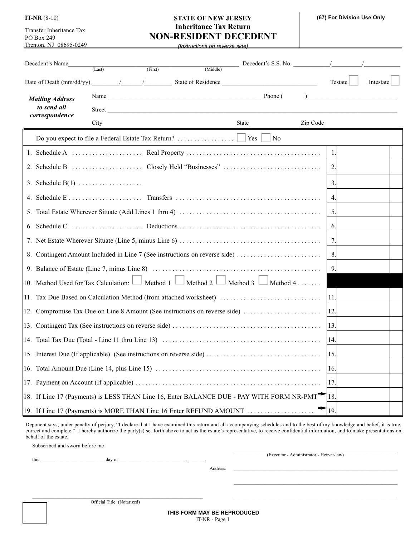Transfer Inheritance Tax PO Box 249 Trenton, NJ 08695-0249

# **STATE OF NEW JERSEY IT-NR** (8-10) **(67) For Division Use Only Inheritance Tax Return NON-RESIDENT DECEDENT**

*(Instructions on reverse side)*

| Decedent's Name                       |                    |         |                                                                                                                                               |         |           |
|---------------------------------------|--------------------|---------|-----------------------------------------------------------------------------------------------------------------------------------------------|---------|-----------|
|                                       | (Last)             | (First) |                                                                                                                                               |         |           |
|                                       |                    |         |                                                                                                                                               | Testate | Intestate |
| <b>Mailing Address</b><br>to send all |                    |         | Name Phone (Phone)                                                                                                                            |         |           |
| correspondence                        |                    |         | Street                                                                                                                                        |         |           |
|                                       |                    |         |                                                                                                                                               |         |           |
|                                       |                    |         |                                                                                                                                               |         |           |
|                                       |                    |         |                                                                                                                                               | 1.      |           |
|                                       |                    |         |                                                                                                                                               | 2.      |           |
|                                       | 3. Schedule $B(1)$ |         |                                                                                                                                               | 3.      |           |
|                                       |                    |         |                                                                                                                                               | 4.      |           |
|                                       |                    |         |                                                                                                                                               | 5.      |           |
|                                       |                    |         |                                                                                                                                               | 6.      |           |
|                                       |                    |         |                                                                                                                                               | 7.      |           |
|                                       |                    |         | 8. Contingent Amount Included in Line 7 (See instructions on reverse side)                                                                    | 8.      |           |
|                                       |                    |         | 9. Balance of Estate (Line 7, minus Line 8) $\dots \dots \dots \dots \dots \dots \dots \dots \dots \dots \dots \dots \dots \dots \dots \dots$ | 9.      |           |
|                                       |                    |         | 10. Method Used for Tax Calculation: $\Box$ Method 1 $\Box$ Method 2 $\Box$ Method 3 $\Box$ Method 4                                          |         |           |
|                                       |                    |         | 11. Tax Due Based on Calculation Method (from attached worksheet)                                                                             | 11.     |           |
|                                       |                    |         | 12. Compromise Tax Due on Line 8 Amount (See instructions on reverse side)                                                                    | 12.     |           |
|                                       |                    |         |                                                                                                                                               | 13.     |           |
|                                       |                    |         |                                                                                                                                               | 14.     |           |
|                                       |                    |         |                                                                                                                                               | 15.     |           |
|                                       |                    |         |                                                                                                                                               | 16.     |           |
|                                       |                    |         |                                                                                                                                               | 17.     |           |
|                                       |                    |         | 18. If Line 17 (Payments) is LESS THAN Line 16, Enter BALANCE DUE - PAY WITH FORM NR-PMT                                                      | 18.     |           |
|                                       |                    |         | 19. If Line 17 (Payments) is MORE THAN Line 16 Enter REFUND AMOUNT                                                                            | 19.     |           |

Deponent says, under penalty of perjury, "I declare that I have examined this return and all accompanying schedules and to the best of my knowledge and belief, it is true, correct and complete." I hereby authorize the party(s) set forth above to act as the estate's representative, to receive confidential information, and to make presentations on behalf of the estate.

Subscribed and sworn before me

this \_\_\_\_\_\_\_\_\_\_\_\_\_\_\_\_\_\_\_\_\_\_\_\_\_\_\_ day of \_\_\_\_\_\_\_\_\_\_\_\_\_\_\_\_\_\_\_\_\_\_\_\_\_\_\_\_, \_\_\_\_\_\_\_.

(Executor - Administrator - Heir-at-law)

\_\_\_\_\_\_\_\_\_\_\_\_\_\_\_\_\_\_\_\_\_\_\_\_\_\_\_\_\_\_\_\_\_\_\_\_\_\_\_\_\_\_\_\_\_\_\_\_\_\_\_\_\_\_\_\_\_\_\_\_\_\_\_\_\_\_\_\_\_

\_\_\_\_\_\_\_\_\_\_\_\_\_\_\_\_\_\_\_\_\_\_\_\_\_\_\_\_\_\_\_\_\_\_\_\_\_\_\_\_\_\_\_\_\_\_\_\_\_\_\_\_\_\_\_\_\_\_\_\_\_\_\_\_\_\_\_\_\_

 $\mathcal{L}_\text{max} = \mathcal{L}_\text{max} = \mathcal{L}_\text{max} = \mathcal{L}_\text{max} = \mathcal{L}_\text{max} = \mathcal{L}_\text{max} = \mathcal{L}_\text{max} = \mathcal{L}_\text{max} = \mathcal{L}_\text{max} = \mathcal{L}_\text{max} = \mathcal{L}_\text{max} = \mathcal{L}_\text{max} = \mathcal{L}_\text{max} = \mathcal{L}_\text{max} = \mathcal{L}_\text{max} = \mathcal{L}_\text{max} = \mathcal{L}_\text{max} = \mathcal{L}_\text{max} = \mathcal{$ 

Address: \_\_\_\_\_\_\_\_\_\_\_\_\_\_\_\_\_\_\_\_\_\_\_\_\_\_\_\_\_\_\_\_\_\_\_\_\_\_\_\_\_\_\_\_\_\_\_\_\_\_\_\_\_\_\_\_\_\_\_\_\_\_\_\_\_\_\_\_\_

\_\_\_\_\_\_\_\_\_\_\_\_\_\_\_\_\_\_\_\_\_\_\_\_\_\_\_\_\_\_\_\_\_\_\_\_\_\_\_\_\_\_\_\_\_\_\_\_\_\_\_\_\_\_\_\_\_\_\_\_\_\_\_\_\_\_\_\_\_\_\_\_ Official Title (Notarized)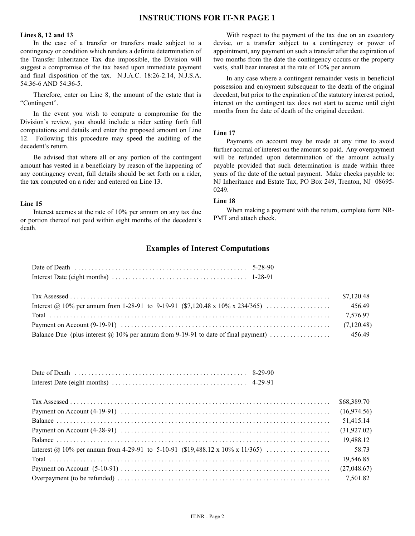# **INSTRUCTIONS FOR IT-NR PAGE 1**

# **Lines 8, 12 and 13**

In the case of a transfer or transfers made subject to a contingency or condition which renders a definite determination of the Transfer Inheritance Tax due impossible, the Division will suggest a compromise of the tax based upon immediate payment and final disposition of the tax. N.J.A.C. 18:26-2.14, N.J.S.A. 54:36-6 AND 54:36-5.

Therefore, enter on Line 8, the amount of the estate that is "Contingent".

In the event you wish to compute a compromise for the Division's review, you should include a rider setting forth full computations and details and enter the proposed amount on Line 12. Following this procedure may speed the auditing of the decedent's return.

Be advised that where all or any portion of the contingent amount has vested in a beneficiary by reason of the happening of any contingency event, full details should be set forth on a rider, the tax computed on a rider and entered on Line 13.

#### **Line 15**

Interest accrues at the rate of 10% per annum on any tax due or portion thereof not paid within eight months of the decedent's death.

With respect to the payment of the tax due on an executory devise, or a transfer subject to a contingency or power of appointment, any payment on such a transfer after the expiration of two months from the date the contingency occurs or the property vests, shall bear interest at the rate of 10% per annum.

In any case where a contingent remainder vests in beneficial possession and enjoyment subsequent to the death of the original decedent, but prior to the expiration of the statutory interest period, interest on the contingent tax does not start to accrue until eight months from the date of death of the original decedent.

#### **Line 17**

Payments on account may be made at any time to avoid further accrual of interest on the amount so paid. Any overpayment will be refunded upon determination of the amount actually payable provided that such determination is made within three years of the date of the actual payment. Make checks payable to: NJ Inheritance and Estate Tax, PO Box 249, Trenton, NJ 08695- 0249.

#### **Line 18**

When making a payment with the return, complete form NR-PMT and attach check.

# **Examples of Interest Computations**

| \$7,120.48 |
|------------|
| 456.49     |
| 7.576.97   |
| (7,120.48) |
| 456.49     |

|  | \$68,389.70  |
|--|--------------|
|  | (16,974.56)  |
|  | 51,415.14    |
|  | (31, 927.02) |
|  | 19,488.12    |
|  | 58.73        |
|  | 19,546.85    |
|  | (27,048.67)  |
|  | 7,501.82     |
|  |              |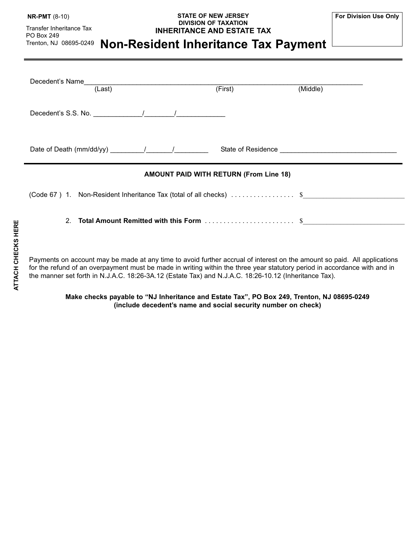| <b>NR-PMT</b> (8-10) |  |
|----------------------|--|
|----------------------|--|

Transfer Inheritance Tax PO Box 249

# **STATE OF NEW JERSEY NR-PMT** (8-10) **For Division Use Only DIVISION OF TAXATION INHERITANCE AND ESTATE TAX**

# **Non-Resident Inheritance Tax Payment** Trenton, NJ 08695-0249

| Decedent's Name<br>(Last)                                                                                                                                                                                                                                                                         | (First)                                       | (Middle) |
|---------------------------------------------------------------------------------------------------------------------------------------------------------------------------------------------------------------------------------------------------------------------------------------------------|-----------------------------------------------|----------|
| Decedent's S.S. No. $\frac{1}{2}$ / $\frac{1}{2}$ / $\frac{1}{2}$ / $\frac{1}{2}$ / $\frac{1}{2}$ / $\frac{1}{2}$ / $\frac{1}{2}$ / $\frac{1}{2}$ / $\frac{1}{2}$ / $\frac{1}{2}$ / $\frac{1}{2}$ / $\frac{1}{2}$ / $\frac{1}{2}$ / $\frac{1}{2}$ / $\frac{1}{2}$ / $\frac{1}{2}$ / $\frac{1}{2}$ |                                               |          |
| Date of Death (mm/dd/yy) _________/________/                                                                                                                                                                                                                                                      |                                               |          |
|                                                                                                                                                                                                                                                                                                   | <b>AMOUNT PAID WITH RETURN (From Line 18)</b> |          |
| (Code 67 ) 1. Non-Resident Inheritance Tax (total of all checks) $\dots\dots\dots\dots\dots$ \$                                                                                                                                                                                                   |                                               |          |
| 2.                                                                                                                                                                                                                                                                                                |                                               |          |

Payments on account may be made at any time to avoid further accrual of interest on the amount so paid. All applications for the refund of an overpayment must be made in writing within the three year statutory period in accordance with and in the manner set forth in N.J.A.C. 18:26-3A.12 (Estate Tax) and N.J.A.C. 18:26-10.12 (Inheritance Tax).

**Make checks payable to "NJ Inheritance and Estate Tax", PO Box 249, Trenton, NJ 08695-0249 (include decedent's name and social security number on check)**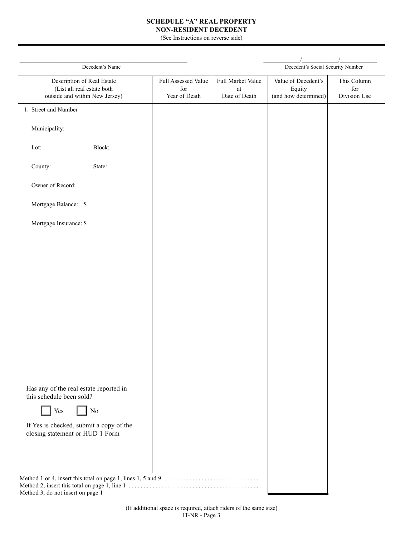## **SCHEDULE "A" REAL PROPERTY NON-RESIDENT DECEDENT**

(See Instructions on reverse side)

| Decedent's Name                                                                            |                                             |                                               | Decedent's Social Security Number                     |                                    |
|--------------------------------------------------------------------------------------------|---------------------------------------------|-----------------------------------------------|-------------------------------------------------------|------------------------------------|
| Description of Real Estate<br>(List all real estate both<br>outside and within New Jersey) | Full Assessed Value<br>for<br>Year of Death | Full Market Value<br>$\,$ at<br>Date of Death | Value of Decedent's<br>Equity<br>(and how determined) | This Column<br>for<br>Division Use |
| 1. Street and Number                                                                       |                                             |                                               |                                                       |                                    |
| Municipality:                                                                              |                                             |                                               |                                                       |                                    |
| Block:<br>Lot:                                                                             |                                             |                                               |                                                       |                                    |
| County:<br>State:                                                                          |                                             |                                               |                                                       |                                    |
| Owner of Record:                                                                           |                                             |                                               |                                                       |                                    |
| Mortgage Balance: \$                                                                       |                                             |                                               |                                                       |                                    |
| Mortgage Insurance: \$                                                                     |                                             |                                               |                                                       |                                    |
|                                                                                            |                                             |                                               |                                                       |                                    |
|                                                                                            |                                             |                                               |                                                       |                                    |
|                                                                                            |                                             |                                               |                                                       |                                    |
|                                                                                            |                                             |                                               |                                                       |                                    |
|                                                                                            |                                             |                                               |                                                       |                                    |
|                                                                                            |                                             |                                               |                                                       |                                    |
|                                                                                            |                                             |                                               |                                                       |                                    |
|                                                                                            |                                             |                                               |                                                       |                                    |
| Has any of the real estate reported in<br>this schedule been sold?                         |                                             |                                               |                                                       |                                    |
| Yes<br>No                                                                                  |                                             |                                               |                                                       |                                    |
| If Yes is checked, submit a copy of the<br>closing statement or HUD 1 Form                 |                                             |                                               |                                                       |                                    |
|                                                                                            |                                             |                                               |                                                       |                                    |
|                                                                                            |                                             |                                               |                                                       |                                    |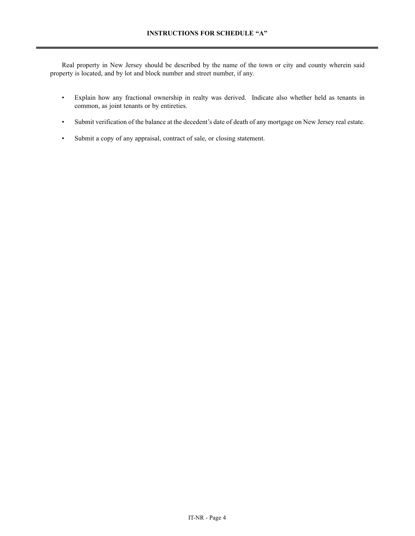Real property in New Jersey should be described by the name of the town or city and county wherein said property is located, and by lot and block number and street number, if any.

- Explain how any fractional ownership in realty was derived. Indicate also whether held as tenants in common, as joint tenants or by entireties.
- Submit verification of the balance at the decedent's date of death of any mortgage on New Jersey real estate.
- Submit a copy of any appraisal, contract of sale, or closing statement.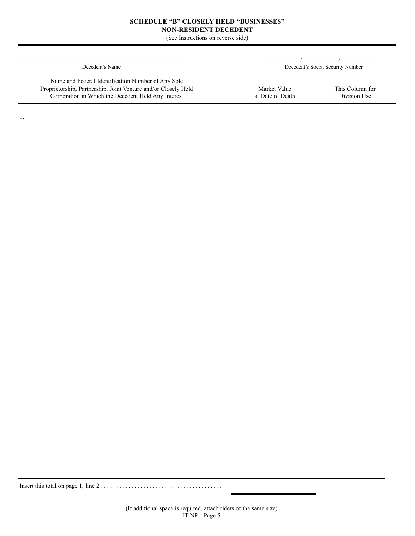## **SCHEDULE "B" CLOSELY HELD "BUSINESSES" NON-RESIDENT DECEDENT**

(See Instructions on reverse side)

| Decedent's Name                                                                                                                                                             |                                  | Decedent's Social Security Number |
|-----------------------------------------------------------------------------------------------------------------------------------------------------------------------------|----------------------------------|-----------------------------------|
| Name and Federal Identification Number of Any Sole<br>Proprietorship, Partnership, Joint Venture and/or Closely Held<br>Corporation in Which the Decedent Held Any Interest | Market Value<br>at Date of Death | This Column for<br>Division Use   |
| 1.                                                                                                                                                                          |                                  |                                   |
|                                                                                                                                                                             |                                  |                                   |
|                                                                                                                                                                             |                                  |                                   |
|                                                                                                                                                                             |                                  |                                   |
|                                                                                                                                                                             |                                  |                                   |
|                                                                                                                                                                             |                                  |                                   |
|                                                                                                                                                                             |                                  |                                   |
|                                                                                                                                                                             |                                  |                                   |
|                                                                                                                                                                             |                                  |                                   |
|                                                                                                                                                                             |                                  |                                   |
|                                                                                                                                                                             |                                  |                                   |
|                                                                                                                                                                             |                                  |                                   |
|                                                                                                                                                                             |                                  |                                   |
|                                                                                                                                                                             |                                  |                                   |
|                                                                                                                                                                             |                                  |                                   |
|                                                                                                                                                                             |                                  |                                   |
|                                                                                                                                                                             |                                  |                                   |
|                                                                                                                                                                             |                                  |                                   |
|                                                                                                                                                                             |                                  |                                   |
|                                                                                                                                                                             |                                  |                                   |
|                                                                                                                                                                             |                                  |                                   |
|                                                                                                                                                                             |                                  |                                   |
|                                                                                                                                                                             |                                  |                                   |
|                                                                                                                                                                             |                                  |                                   |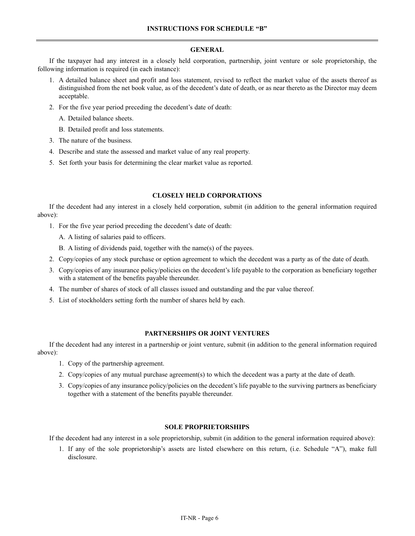#### **GENERAL**

If the taxpayer had any interest in a closely held corporation, partnership, joint venture or sole proprietorship, the following information is required (in each instance):

- 1. A detailed balance sheet and profit and loss statement, revised to reflect the market value of the assets thereof as distinguished from the net book value, as of the decedent's date of death, or as near thereto as the Director may deem acceptable.
- 2. For the five year period preceding the decedent's date of death:
	- A. Detailed balance sheets.
	- B. Detailed profit and loss statements.
- 3. The nature of the business.
- 4. Describe and state the assessed and market value of any real property.
- 5. Set forth your basis for determining the clear market value as reported.

### **CLOSELY HELD CORPORATIONS**

If the decedent had any interest in a closely held corporation, submit (in addition to the general information required above):

- 1. For the five year period preceding the decedent's date of death:
	- A. A listing of salaries paid to officers.
	- B. A listing of dividends paid, together with the name(s) of the payees.
- 2. Copy/copies of any stock purchase or option agreement to which the decedent was a party as of the date of death.
- 3. Copy/copies of any insurance policy/policies on the decedent's life payable to the corporation as beneficiary together with a statement of the benefits payable thereunder.
- 4. The number of shares of stock of all classes issued and outstanding and the par value thereof.
- 5. List of stockholders setting forth the number of shares held by each.

## **PARTNERSHIPS OR JOINT VENTURES**

If the decedent had any interest in a partnership or joint venture, submit (in addition to the general information required above):

- 1. Copy of the partnership agreement.
- 2. Copy/copies of any mutual purchase agreement(s) to which the decedent was a party at the date of death.
- 3. Copy/copies of any insurance policy/policies on the decedent's life payable to the surviving partners as beneficiary together with a statement of the benefits payable thereunder.

#### **SOLE PROPRIETORSHIPS**

If the decedent had any interest in a sole proprietorship, submit (in addition to the general information required above):

1. If any of the sole proprietorship's assets are listed elsewhere on this return, (i.e. Schedule "A"), make full disclosure.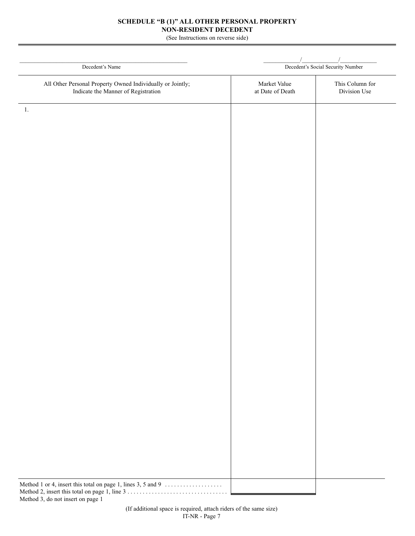## **SCHEDULE "B (1)" ALL OTHER PERSONAL PROPERTY NON-RESIDENT DECEDENT**

(See Instructions on reverse side)

| Decedent's Name                                                                                   | Decedent's Social Security Number |                                 |  |  |
|---------------------------------------------------------------------------------------------------|-----------------------------------|---------------------------------|--|--|
|                                                                                                   |                                   |                                 |  |  |
| All Other Personal Property Owned Individually or Jointly;<br>Indicate the Manner of Registration | Market Value<br>at Date of Death  | This Column for<br>Division Use |  |  |
|                                                                                                   |                                   |                                 |  |  |
|                                                                                                   |                                   |                                 |  |  |
|                                                                                                   |                                   |                                 |  |  |
|                                                                                                   |                                   |                                 |  |  |
|                                                                                                   |                                   |                                 |  |  |
|                                                                                                   |                                   |                                 |  |  |
|                                                                                                   |                                   |                                 |  |  |
|                                                                                                   |                                   |                                 |  |  |
|                                                                                                   |                                   |                                 |  |  |
|                                                                                                   |                                   |                                 |  |  |
|                                                                                                   |                                   |                                 |  |  |
|                                                                                                   |                                   |                                 |  |  |
|                                                                                                   |                                   |                                 |  |  |
|                                                                                                   |                                   |                                 |  |  |
|                                                                                                   |                                   |                                 |  |  |
|                                                                                                   |                                   |                                 |  |  |
|                                                                                                   |                                   |                                 |  |  |
|                                                                                                   |                                   |                                 |  |  |
|                                                                                                   |                                   |                                 |  |  |
|                                                                                                   |                                   |                                 |  |  |
|                                                                                                   |                                   |                                 |  |  |
|                                                                                                   |                                   |                                 |  |  |
|                                                                                                   |                                   |                                 |  |  |
|                                                                                                   |                                   |                                 |  |  |
|                                                                                                   |                                   |                                 |  |  |
|                                                                                                   |                                   |                                 |  |  |
|                                                                                                   |                                   |                                 |  |  |
|                                                                                                   |                                   |                                 |  |  |
|                                                                                                   |                                   |                                 |  |  |
|                                                                                                   |                                   |                                 |  |  |
| Method 1 or 4, insert this total on page 1, lines 3, 5 and 9                                      |                                   |                                 |  |  |

Method 3, do not insert on page 1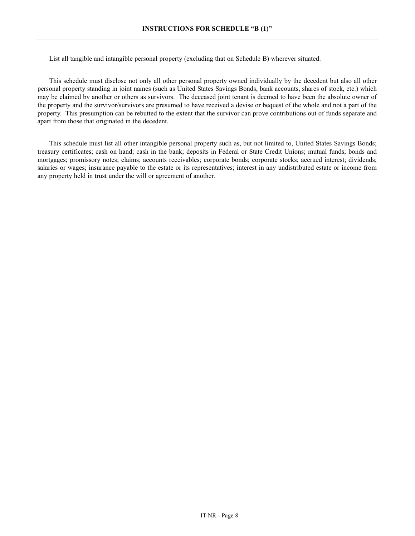List all tangible and intangible personal property (excluding that on Schedule B) wherever situated.

This schedule must disclose not only all other personal property owned individually by the decedent but also all other personal property standing in joint names (such as United States Savings Bonds, bank accounts, shares of stock, etc.) which may be claimed by another or others as survivors. The deceased joint tenant is deemed to have been the absolute owner of the property and the survivor/survivors are presumed to have received a devise or bequest of the whole and not a part of the property. This presumption can be rebutted to the extent that the survivor can prove contributions out of funds separate and apart from those that originated in the decedent.

This schedule must list all other intangible personal property such as, but not limited to, United States Savings Bonds; treasury certificates; cash on hand; cash in the bank; deposits in Federal or State Credit Unions; mutual funds; bonds and mortgages; promissory notes; claims; accounts receivables; corporate bonds; corporate stocks; accrued interest; dividends; salaries or wages; insurance payable to the estate or its representatives; interest in any undistributed estate or income from any property held in trust under the will or agreement of another.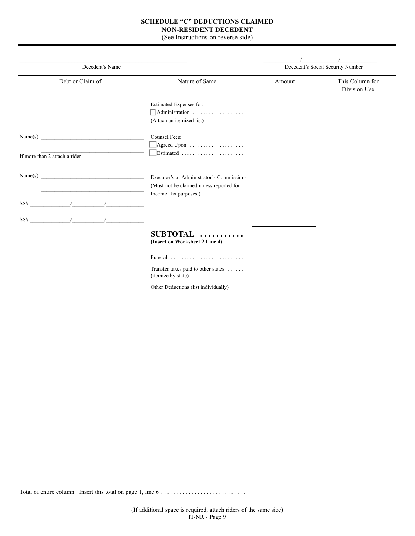## **SCHEDULE "C" DEDUCTIONS CLAIMED NON-RESIDENT DECEDENT**

(See Instructions on reverse side)

| Decedent's Name                                                                                                                                                                                                                                                                                                                                                                                                                                                             |                                                                                                                | Decedent's Social Security Number |                                 |
|-----------------------------------------------------------------------------------------------------------------------------------------------------------------------------------------------------------------------------------------------------------------------------------------------------------------------------------------------------------------------------------------------------------------------------------------------------------------------------|----------------------------------------------------------------------------------------------------------------|-----------------------------------|---------------------------------|
| Debt or Claim of                                                                                                                                                                                                                                                                                                                                                                                                                                                            | Nature of Same                                                                                                 | Amount                            | This Column for<br>Division Use |
|                                                                                                                                                                                                                                                                                                                                                                                                                                                                             | Estimated Expenses for:<br>$\Box$ Administration<br>(Attach an itemized list)                                  |                                   |                                 |
| Name(s): $\qquad \qquad$<br>If more than 2 attach a rider                                                                                                                                                                                                                                                                                                                                                                                                                   | Counsel Fees:<br>$\Box$ Agreed Upon<br>$\mathbb{R}$ Estimated                                                  |                                   |                                 |
| $SS\#$                                                                                                                                                                                                                                                                                                                                                                                                                                                                      | Executor's or Administrator's Commissions<br>(Must not be claimed unless reported for<br>Income Tax purposes.) |                                   |                                 |
| $\text{SS#} \qquad \qquad \text{1} \qquad \qquad \text{1} \qquad \qquad \text{1} \qquad \qquad \text{1} \qquad \qquad \text{1} \qquad \qquad \text{1} \qquad \qquad \text{1} \qquad \qquad \text{1} \qquad \qquad \text{1} \qquad \qquad \text{1} \qquad \qquad \text{1} \qquad \qquad \text{1} \qquad \qquad \text{1} \qquad \qquad \text{1} \qquad \qquad \text{1} \qquad \qquad \text{1} \qquad \qquad \text{1} \qquad \qquad \text{1} \qquad \qquad \text{1} \qquad \q$ | SUBTOTAL<br>(Insert on Worksheet 2 Line 4)                                                                     |                                   |                                 |
|                                                                                                                                                                                                                                                                                                                                                                                                                                                                             | Funeral<br>Transfer taxes paid to other states<br>(itemize by state)                                           |                                   |                                 |
|                                                                                                                                                                                                                                                                                                                                                                                                                                                                             | Other Deductions (list individually)                                                                           |                                   |                                 |
|                                                                                                                                                                                                                                                                                                                                                                                                                                                                             |                                                                                                                |                                   |                                 |
|                                                                                                                                                                                                                                                                                                                                                                                                                                                                             |                                                                                                                |                                   |                                 |
|                                                                                                                                                                                                                                                                                                                                                                                                                                                                             |                                                                                                                |                                   |                                 |
|                                                                                                                                                                                                                                                                                                                                                                                                                                                                             |                                                                                                                |                                   |                                 |
|                                                                                                                                                                                                                                                                                                                                                                                                                                                                             |                                                                                                                |                                   |                                 |
|                                                                                                                                                                                                                                                                                                                                                                                                                                                                             |                                                                                                                |                                   |                                 |
| Total of entire column. Insert this total on page 1, line 6                                                                                                                                                                                                                                                                                                                                                                                                                 |                                                                                                                |                                   |                                 |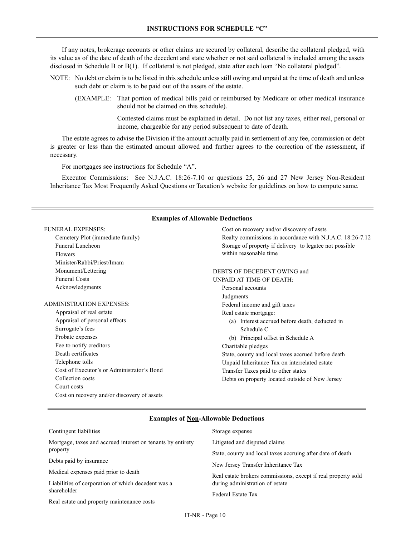If any notes, brokerage accounts or other claims are secured by collateral, describe the collateral pledged, with its value as of the date of death of the decedent and state whether or not said collateral is included among the assets disclosed in Schedule B or B(1). If collateral is not pledged, state after each loan "No collateral pledged".

- NOTE: No debt or claim is to be listed in this schedule unless still owing and unpaid at the time of death and unless such debt or claim is to be paid out of the assets of the estate.
	- (EXAMPLE: That portion of medical bills paid or reimbursed by Medicare or other medical insurance should not be claimed on this schedule).

Contested claims must be explained in detail. Do not list any taxes, either real, personal or income, chargeable for any period subsequent to date of death.

The estate agrees to advise the Division if the amount actually paid in settlement of any fee, commission or debt is greater or less than the estimated amount allowed and further agrees to the correction of the assessment, if necessary.

For mortgages see instructions for Schedule "A".

Executor Commissions: See N.J.A.C. 18:26-7.10 or questions 25, 26 and 27 New Jersey Non-Resident Inheritance Tax Most Frequently Asked Questions or Taxation's website for guidelines on how to compute same.

| <b>FUNERAL EXPENSES:</b>                    | Cost on recovery and/or discovery of assts                |
|---------------------------------------------|-----------------------------------------------------------|
| Cemetery Plot (immediate family)            | Realty commissions in accordance with N.J.A.C. 18:26-7.12 |
| Funeral Luncheon                            | Storage of property if delivery to legatee not possible   |
| <b>Flowers</b>                              | within reasonable time                                    |
| Minister/Rabbi/Priest/Imam                  |                                                           |
| Monument/Lettering                          | DEBTS OF DECEDENT OWING and                               |
| <b>Funeral Costs</b>                        | UNPAID AT TIME OF DEATH:                                  |
| Acknowledgments                             | Personal accounts                                         |
|                                             | Judgments                                                 |
| <b>ADMINISTRATION EXPENSES:</b>             | Federal income and gift taxes                             |
| Appraisal of real estate                    | Real estate mortgage:                                     |
| Appraisal of personal effects               | (a) Interest accrued before death, deducted in            |
| Surrogate's fees                            | Schedule C                                                |
| Probate expenses                            | (b) Principal offset in Schedule A                        |
| Fee to notify creditors                     | Charitable pledges                                        |
| Death certificates                          | State, county and local taxes accrued before death        |
| Telephone tolls                             | Unpaid Inheritance Tax on interrelated estate             |
| Cost of Executor's or Administrator's Bond  | Transfer Taxes paid to other states                       |
| Collection costs                            | Debts on property located outside of New Jersey           |
| Court costs                                 |                                                           |
| Cost on recovery and/or discovery of assets |                                                           |
|                                             |                                                           |

#### **Examples of Allowable Deductions**

#### **Examples of Non-Allowable Deductions**

| Contingent liabilities                                      | Storage expense                                               |
|-------------------------------------------------------------|---------------------------------------------------------------|
| Mortgage, taxes and accrued interest on tenants by entirety | Litigated and disputed claims                                 |
| property                                                    | State, county and local taxes accruing after date of death    |
| Debts paid by insurance                                     | New Jersey Transfer Inheritance Tax                           |
| Medical expenses paid prior to death                        | Real estate brokers commissions, except if real property sold |
| Liabilities of corporation of which decedent was a          | during administration of estate                               |
| shareholder                                                 | Federal Estate Tax                                            |
| Real estate and property maintenance costs                  |                                                               |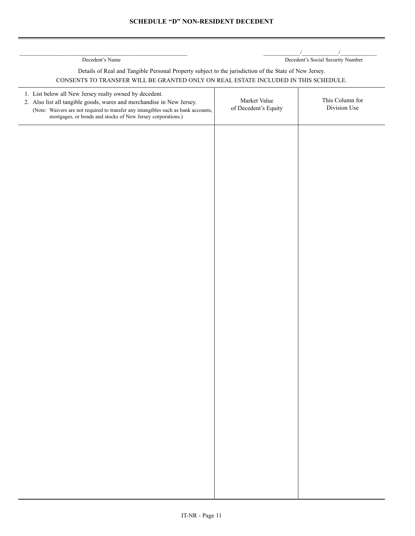\_\_\_\_\_\_\_\_\_\_\_\_\_\_\_\_\_\_\_\_\_\_\_\_\_\_\_\_\_\_\_\_\_\_\_\_\_\_\_\_\_\_\_\_\_\_\_\_\_\_\_\_\_\_\_ \_\_\_\_\_\_\_\_\_\_\_\_/\_\_\_\_\_\_\_\_\_\_\_\_/\_\_\_\_\_\_\_\_\_\_\_\_ Decedent's Name Decedent's Social Security Number

# Details of Real and Tangible Personal Property subject to the jurisdiction of the State of New Jersey. CONSENTS TO TRANSFER WILL BE GRANTED ONLY ON REAL ESTATE INCLUDED IN THIS SCHEDULE.

| 1. List below all New Jersey realty owned by decedent.<br>2. Also list all tangible goods, wares and merchandise in New Jersey.<br>(Note: Waivers are not required to transfer any intangibles such as bank accounts,<br>mortgages, or bonds and stocks of New Jersey corporations.) | Market Value<br>of Decedent's Equity | This Column for<br>Division Use |
|--------------------------------------------------------------------------------------------------------------------------------------------------------------------------------------------------------------------------------------------------------------------------------------|--------------------------------------|---------------------------------|
|                                                                                                                                                                                                                                                                                      |                                      |                                 |
|                                                                                                                                                                                                                                                                                      |                                      |                                 |
|                                                                                                                                                                                                                                                                                      |                                      |                                 |
|                                                                                                                                                                                                                                                                                      |                                      |                                 |
|                                                                                                                                                                                                                                                                                      |                                      |                                 |
|                                                                                                                                                                                                                                                                                      |                                      |                                 |
|                                                                                                                                                                                                                                                                                      |                                      |                                 |
|                                                                                                                                                                                                                                                                                      |                                      |                                 |
|                                                                                                                                                                                                                                                                                      |                                      |                                 |
|                                                                                                                                                                                                                                                                                      |                                      |                                 |
|                                                                                                                                                                                                                                                                                      |                                      |                                 |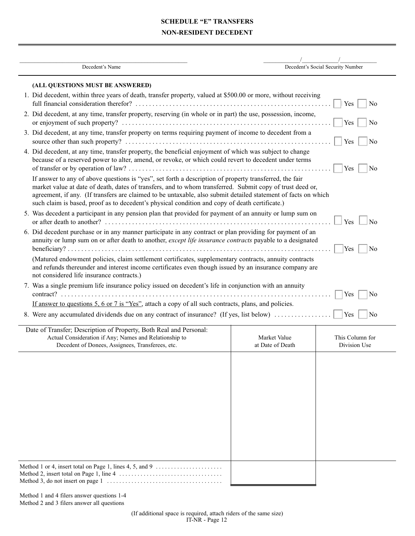# **SCHEDULE "E" TRANSFERS NON-RESIDENT DECEDENT**

| Decedent's Name                                                                                                                                                                                                                                                                                                                                                                                                                          |                                  | Decedent's Social Security Number |
|------------------------------------------------------------------------------------------------------------------------------------------------------------------------------------------------------------------------------------------------------------------------------------------------------------------------------------------------------------------------------------------------------------------------------------------|----------------------------------|-----------------------------------|
| (ALL QUESTIONS MUST BE ANSWERED)                                                                                                                                                                                                                                                                                                                                                                                                         |                                  |                                   |
| 1. Did decedent, within three years of death, transfer property, valued at \$500.00 or more, without receiving                                                                                                                                                                                                                                                                                                                           |                                  | Yes<br>N <sub>0</sub>             |
| 2. Did decedent, at any time, transfer property, reserving (in whole or in part) the use, possession, income,                                                                                                                                                                                                                                                                                                                            |                                  | Yes<br>No                         |
| 3. Did decedent, at any time, transfer property on terms requiring payment of income to decedent from a                                                                                                                                                                                                                                                                                                                                  |                                  | Yes<br>No                         |
| 4. Did decedent, at any time, transfer property, the beneficial enjoyment of which was subject to change<br>because of a reserved power to alter, amend, or revoke, or which could revert to decedent under terms                                                                                                                                                                                                                        |                                  | Yes<br>No                         |
| If answer to any of above questions is "yes", set forth a description of property transferred, the fair<br>market value at date of death, dates of transfers, and to whom transferred. Submit copy of trust deed or,<br>agreement, if any. (If transfers are claimed to be untaxable, also submit detailed statement of facts on which<br>such claim is based, proof as to decedent's physical condition and copy of death certificate.) |                                  |                                   |
| 5. Was decedent a participant in any pension plan that provided for payment of an annuity or lump sum on                                                                                                                                                                                                                                                                                                                                 |                                  | Yes<br>No                         |
| 6. Did decedent purchase or in any manner participate in any contract or plan providing for payment of an<br>annuity or lump sum on or after death to another, except life insurance contracts payable to a designated                                                                                                                                                                                                                   |                                  | Yes<br>No                         |
| (Matured endowment policies, claim settlement certificates, supplementary contracts, annuity contracts<br>and refunds thereunder and interest income certificates even though issued by an insurance company are<br>not considered life insurance contracts.)                                                                                                                                                                            |                                  |                                   |
| 7. Was a single premium life insurance policy issued on decedent's life in conjunction with an annuity                                                                                                                                                                                                                                                                                                                                   |                                  | Yes<br>No.                        |
| If answer to questions 5, 6 or 7 is "Yes", attach a copy of all such contracts, plans, and policies.                                                                                                                                                                                                                                                                                                                                     |                                  |                                   |
| 8. Were any accumulated dividends due on any contract of insurance? (If yes, list below)                                                                                                                                                                                                                                                                                                                                                 |                                  | Yes<br>No                         |
| Date of Transfer; Description of Property, Both Real and Personal:<br>Actual Consideration if Any; Names and Relationship to<br>Decedent of Donees, Assignees, Transferees, etc.                                                                                                                                                                                                                                                         | Market Value<br>at Date of Death | This Column for<br>Division Use   |
|                                                                                                                                                                                                                                                                                                                                                                                                                                          |                                  |                                   |
|                                                                                                                                                                                                                                                                                                                                                                                                                                          |                                  |                                   |
|                                                                                                                                                                                                                                                                                                                                                                                                                                          |                                  |                                   |
|                                                                                                                                                                                                                                                                                                                                                                                                                                          |                                  |                                   |
|                                                                                                                                                                                                                                                                                                                                                                                                                                          |                                  |                                   |
| Method 1 or 4, insert total on Page 1, lines 4, 5, and 9                                                                                                                                                                                                                                                                                                                                                                                 |                                  |                                   |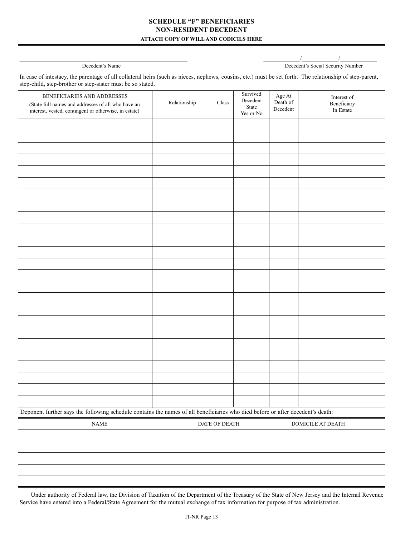## **SCHEDULE "F" BENEFICIARIES NON-RESIDENT DECEDENT ATTACH COPY OF WILL AND CODICILS HERE**

\_\_\_\_\_\_\_\_\_\_\_\_\_\_\_\_\_\_\_\_\_\_\_\_\_\_\_\_\_\_\_\_\_\_\_\_\_\_\_\_\_\_\_\_\_\_\_\_\_\_\_\_\_\_\_ \_\_\_\_\_\_\_\_\_\_\_\_/\_\_\_\_\_\_\_\_\_\_\_\_/\_\_\_\_\_\_\_\_\_\_\_\_ Decedent's Name Decedent's Social Security Number

| In case of intestacy, the parentage of all collateral heirs (such as nieces, nephews, cousins, etc.) must be set forth. The relationship of step-parent, |  |
|----------------------------------------------------------------------------------------------------------------------------------------------------------|--|
| step-child, step-brother or step-sister must be so stated.                                                                                               |  |

| BENEFICIARIES AND ADDRESSES<br>(State full names and addresses of all who have an<br>interest, vested, contingent or otherwise, in estate) | Relationship | Class | Survived<br>Decedent<br>State<br>Yes or No | Age At<br>Death of<br>Decedent | Interest of<br>Beneficiary<br>In Estate |
|--------------------------------------------------------------------------------------------------------------------------------------------|--------------|-------|--------------------------------------------|--------------------------------|-----------------------------------------|
|                                                                                                                                            |              |       |                                            |                                |                                         |
|                                                                                                                                            |              |       |                                            |                                |                                         |
|                                                                                                                                            |              |       |                                            |                                |                                         |
|                                                                                                                                            |              |       |                                            |                                |                                         |
|                                                                                                                                            |              |       |                                            |                                |                                         |
|                                                                                                                                            |              |       |                                            |                                |                                         |
|                                                                                                                                            |              |       |                                            |                                |                                         |
|                                                                                                                                            |              |       |                                            |                                |                                         |
|                                                                                                                                            |              |       |                                            |                                |                                         |
|                                                                                                                                            |              |       |                                            |                                |                                         |
|                                                                                                                                            |              |       |                                            |                                |                                         |
|                                                                                                                                            |              |       |                                            |                                |                                         |
|                                                                                                                                            |              |       |                                            |                                |                                         |
|                                                                                                                                            |              |       |                                            |                                |                                         |
|                                                                                                                                            |              |       |                                            |                                |                                         |
|                                                                                                                                            |              |       |                                            |                                |                                         |
|                                                                                                                                            |              |       |                                            |                                |                                         |
|                                                                                                                                            |              |       |                                            |                                |                                         |
|                                                                                                                                            |              |       |                                            |                                |                                         |
|                                                                                                                                            |              |       |                                            |                                |                                         |
|                                                                                                                                            |              |       |                                            |                                |                                         |
|                                                                                                                                            |              |       |                                            |                                |                                         |
|                                                                                                                                            |              |       |                                            |                                |                                         |
|                                                                                                                                            |              |       |                                            |                                |                                         |
|                                                                                                                                            |              |       |                                            |                                |                                         |

Deponent further says the following schedule contains the names of all beneficiaries who died before or after decedent's death:

| <b>NAME</b> | DATE OF DEATH | DOMICILE AT DEATH |
|-------------|---------------|-------------------|
|             |               |                   |
|             |               |                   |
|             |               |                   |
|             |               |                   |
|             |               |                   |

Under authority of Federal law, the Division of Taxation of the Department of the Treasury of the State of New Jersey and the Internal Revenue Service have entered into a Federal/State Agreement for the mutual exchange of tax information for purpose of tax administration.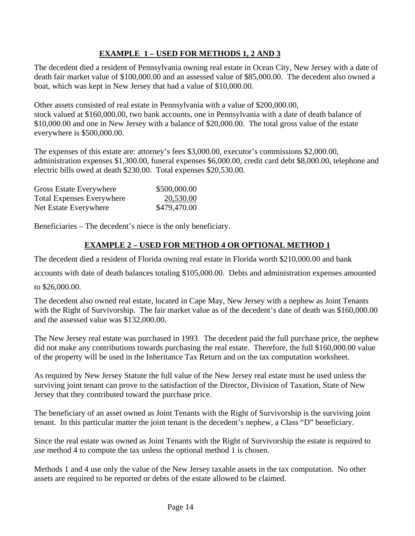# **EXAMPLE 1 – USED FOR METHODS 1, 2 AND 3**

The decedent died a resident of Pennsylvania owning real estate in Ocean City, New Jersey with a date of death fair market value of \$100,000.00 and an assessed value of \$85,000.00. The decedent also owned a boat, which was kept in New Jersey that had a value of \$10,000.00.

Other assets consisted of real estate in Pennsylvania with a value of \$200,000.00, stock valued at \$160,000.00, two bank accounts, one in Pennsylvania with a date of death balance of \$10,000.00 and one in New Jersey with a balance of \$20,000.00. The total gross value of the estate everywhere is \$500,000.00.

The expenses of this estate are: attorney's fees \$3,000.00, executor's commissions \$2,000.00, administration expenses \$1,300.00, funeral expenses \$6,000.00, credit card debt \$8,000.00, telephone and electric bills owed at death \$230.00. Total expenses \$20,530.00.

| Gross Estate Everywhere          | \$500,000.00 |
|----------------------------------|--------------|
| <b>Total Expenses Everywhere</b> | 20,530.00    |
| Net Estate Everywhere            | \$479,470.00 |

Beneficiaries – The decedent's niece is the only beneficiary.

# **EXAMPLE 2 – USED FOR METHOD 4 OR OPTIONAL METHOD 1**

The decedent died a resident of Florida owning real estate in Florida worth \$210,000.00 and bank

accounts with date of death balances totaling \$105,000.00. Debts and administration expenses amounted

to \$26,000.00.

The decedent also owned real estate, located in Cape May, New Jersey with a nephew as Joint Tenants with the Right of Survivorship. The fair market value as of the decedent's date of death was \$160,000.00 and the assessed value was \$132,000.00.

The New Jersey real estate was purchased in 1993. The decedent paid the full purchase price, the nephew did not make any contributions towards purchasing the real estate. Therefore, the full \$160,000.00 value of the property will be used in the Inheritance Tax Return and on the tax computation worksheet.

As required by New Jersey Statute the full value of the New Jersey real estate must be used unless the surviving joint tenant can prove to the satisfaction of the Director, Division of Taxation, State of New Jersey that they contributed toward the purchase price.

The beneficiary of an asset owned as Joint Tenants with the Right of Survivorship is the surviving joint tenant. In this particular matter the joint tenant is the decedent's nephew, a Class "D" beneficiary.

Since the real estate was owned as Joint Tenants with the Right of Survivorship the estate is required to use method 4 to compute the tax unless the optional method 1 is chosen.

Methods 1 and 4 use only the value of the New Jersey taxable assets in the tax computation. No other assets are required to be reported or debts of the estate allowed to be claimed.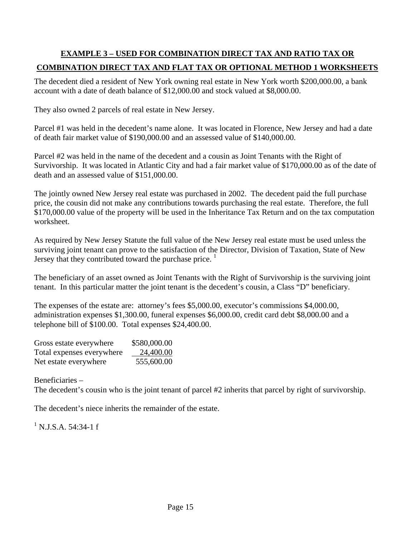# **EXAMPLE 3 – USED FOR COMBINATION DIRECT TAX AND RATIO TAX OR COMBINATION DIRECT TAX AND FLAT TAX OR OPTIONAL METHOD 1 WORKSHEETS**

The decedent died a resident of New York owning real estate in New York worth \$200,000.00, a bank account with a date of death balance of \$12,000.00 and stock valued at \$8,000.00.

They also owned 2 parcels of real estate in New Jersey.

Parcel #1 was held in the decedent's name alone. It was located in Florence, New Jersey and had a date of death fair market value of \$190,000.00 and an assessed value of \$140,000.00.

Parcel #2 was held in the name of the decedent and a cousin as Joint Tenants with the Right of Survivorship. It was located in Atlantic City and had a fair market value of \$170,000.00 as of the date of death and an assessed value of \$151,000.00.

The jointly owned New Jersey real estate was purchased in 2002. The decedent paid the full purchase price, the cousin did not make any contributions towards purchasing the real estate. Therefore, the full \$170,000.00 value of the property will be used in the Inheritance Tax Return and on the tax computation worksheet.

As required by New Jersey Statute the full value of the New Jersey real estate must be used unless the surviving joint tenant can prove to the satisfaction of the Director, Division of Taxation, State of New Jersey that they contributed toward the purchase price.  $\frac{1}{1}$ 

The beneficiary of an asset owned as Joint Tenants with the Right of Survivorship is the surviving joint tenant. In this particular matter the joint tenant is the decedent's cousin, a Class "D" beneficiary.

The expenses of the estate are: attorney's fees \$5,000.00, executor's commissions \$4,000.00, administration expenses \$1,300.00, funeral expenses \$6,000.00, credit card debt \$8,000.00 and a telephone bill of \$100.00. Total expenses \$24,400.00.

| Gross estate everywhere   | \$580,000.00 |
|---------------------------|--------------|
| Total expenses everywhere | 24,400.00    |
| Net estate everywhere     | 555,600.00   |

Beneficiaries – The decedent's cousin who is the joint tenant of parcel #2 inherits that parcel by right of survivorship.

The decedent's niece inherits the remainder of the estate.

<sup>1</sup> N.J.S.A. 54:34-1 f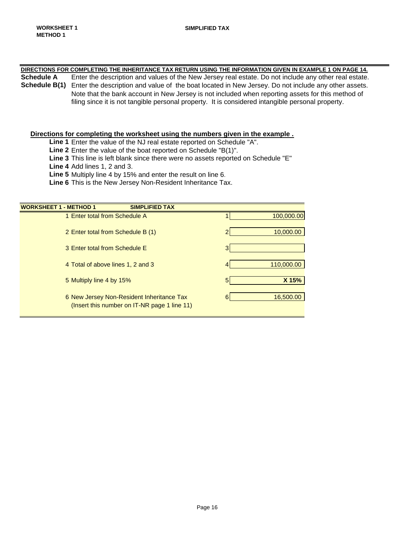# **DIRECTIONS FOR COMPLETING THE INHERITANCE TAX RETURN USING THE INFORMATION GIVEN IN EXAMPLE 1 ON PAGE 14.**

**Schedule A** Enter the description and values of the New Jersey real estate. Do not include any other real estate. **Schedule B(1)** Enter the description and value of the boat located in New Jersey. Do not include any other assets. Note that the bank account in New Jersey is not included when reporting assets for this method of filing since it is not tangible personal property. It is considered intangible personal property.

#### **Directions for completing the worksheet using the numbers given in the example .**

Line 1 Enter the value of the NJ real estate reported on Schedule "A".

**Line 2** Enter the value of the boat reported on Schedule "B(1)".

**Line 3** This line is left blank since there were no assets reported on Schedule "E"

**Line 4** Add lines 1, 2 and 3.

**Line 5** Multiply line 4 by 15% and enter the result on line 6.

**Line 6** This is the New Jersey Non-Resident Inheritance Tax.

| <b>WORKSHEET 1 - METHOD 1</b><br><b>SIMPLIFIED TAX</b> |                |            |
|--------------------------------------------------------|----------------|------------|
| 1 Enter total from Schedule A                          |                | 100,000.00 |
|                                                        |                |            |
| 2 Enter total from Schedule B (1)                      | 2              | 10,000.00  |
|                                                        |                |            |
| 3 Enter total from Schedule E                          | 3 <sub>l</sub> |            |
|                                                        |                |            |
| 4 Total of above lines 1, 2 and 3                      | 4              | 110,000.00 |
|                                                        |                |            |
| 5 Multiply line 4 by 15%                               | 5              | X 15%      |
|                                                        | 6              | 16,500.00  |
| 6 New Jersey Non-Resident Inheritance Tax              |                |            |
| (Insert this number on IT-NR page 1 line 11)           |                |            |
|                                                        |                |            |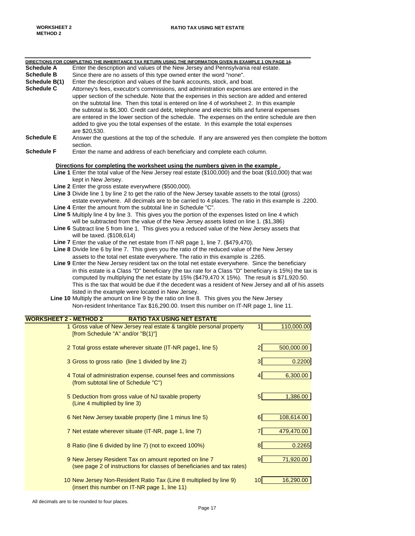|                               | DIRECTIONS FOR COMPLETING THE INHERITANCE TAX RETURN USING THE INFORMATION GIVEN IN EXAMPLE 1 ON PAGE 14. |                                     |
|-------------------------------|-----------------------------------------------------------------------------------------------------------|-------------------------------------|
| <b>Schedule A</b>             | Enter the description and values of the New Jersey and Pennsylvania real estate.                          |                                     |
| <b>Schedule B</b>             | Since there are no assets of this type owned enter the word "none".                                       |                                     |
| Schedule B(1)                 | Enter the description and values of the bank accounts, stock, and boat.                                   |                                     |
| <b>Schedule C</b>             | Attorney's fees, executor's commissions, and administration expenses are entered in the                   |                                     |
|                               | upper section of the schedule. Note that the expenses in this section are added and entered               |                                     |
|                               | on the subtotal line. Then this total is entered on line 4 of worksheet 2. In this example                |                                     |
|                               | the subtotal is \$6,300. Credit card debt, telephone and electric bills and funeral expenses              |                                     |
|                               | are entered in the lower section of the schedule. The expenses on the entire schedule are then            |                                     |
|                               | added to give you the total expenses of the estate. In this example the total expenses                    |                                     |
|                               | are \$20,530.                                                                                             |                                     |
| <b>Schedule E</b>             | Answer the questions at the top of the schedule. If any are answered yes then complete the bottom         |                                     |
|                               | section.                                                                                                  |                                     |
| <b>Schedule F</b>             | Enter the name and address of each beneficiary and complete each column.                                  |                                     |
|                               |                                                                                                           |                                     |
|                               | Directions for completing the worksheet using the numbers given in the example.                           |                                     |
|                               | Line 1 Enter the total value of the New Jersey real estate (\$100,000) and the boat (\$10,000) that was   |                                     |
|                               | kept in New Jersey.                                                                                       |                                     |
|                               | Line 2 Enter the gross estate everywhere (\$500,000).                                                     |                                     |
|                               | Line 3 Divide line 1 by line 2 to get the ratio of the New Jersey taxable assets to the total (gross)     |                                     |
|                               | estate everywhere. All decimals are to be carried to 4 places. The ratio in this example is .2200.        |                                     |
|                               | Line 4 Enter the amount from the subtotal line in Schedule "C".                                           |                                     |
|                               | Line 5 Multiply line 4 by line 3. This gives you the portion of the expenses listed on line 4 which       |                                     |
|                               | will be subtracted from the value of the New Jersey assets listed on line 1. (\$1,386)                    |                                     |
|                               | Line 6 Subtract line 5 from line 1. This gives you a reduced value of the New Jersey assets that          |                                     |
|                               | will be taxed. (\$108,614)                                                                                |                                     |
|                               | Line 7 Enter the value of the net estate from IT-NR page 1, line 7. (\$479,470).                          |                                     |
|                               | Line 8 Divide line 6 by line 7. This gives you the ratio of the reduced value of the New Jersey           |                                     |
|                               | assets to the total net estate everywhere. The ratio in this example is .2265.                            |                                     |
|                               | Line 9 Enter the New Jersey resident tax on the total net estate everywhere. Since the beneficiary        |                                     |
|                               | in this estate is a Class "D" beneficiary (the tax rate for a Class "D" beneficiary is 15%) the tax is    |                                     |
|                               | computed by multiplying the net estate by 15% (\$479,470 X 15%). The result is \$71,920.50.               |                                     |
|                               | This is the tax that would be due if the decedent was a resident of New Jersey and all of his assets      |                                     |
|                               | listed in the example were located in New Jersey.                                                         |                                     |
|                               | Line 10 Multiply the amount on line 9 by the ratio on line 8. This gives you the New Jersey               |                                     |
|                               | Non-resident Inheritance Tax \$16,290.00. Insert this number on IT-NR page 1, line 11.                    |                                     |
|                               |                                                                                                           |                                     |
| <b>WORKSHEET 2 - METHOD 2</b> | <b>RATIO TAX USING NET ESTATE</b>                                                                         |                                     |
|                               | 1 Gross value of New Jersey real estate & tangible personal property                                      | $\mathbf{1}$<br>110,000.00          |
|                               | [from Schedule "A" and/or "B(1)"]                                                                         |                                     |
|                               |                                                                                                           |                                     |
|                               |                                                                                                           | $\overline{2}$                      |
|                               | 2 Total gross estate wherever situate (IT-NR page1, line 5)                                               | 500,000.00                          |
|                               |                                                                                                           |                                     |
|                               | 3 Gross to gross ratio (line 1 divided by line 2)                                                         | 3<br>0.2200                         |
|                               |                                                                                                           |                                     |
|                               | 4 Total of administration expense, counsel fees and commissions                                           | $\overline{\mathbf{4}}$<br>6,300.00 |
|                               | (from subtotal line of Schedule "C")                                                                      |                                     |
|                               |                                                                                                           |                                     |
|                               | 5 Deduction from gross value of NJ taxable property                                                       | $5\overline{)}$<br>1,386.00         |
|                               | (Line 4 multiplied by line 3)                                                                             |                                     |
|                               |                                                                                                           |                                     |
|                               | 6 Net New Jersey taxable property (line 1 minus line 5)                                                   | 6<br>108,614.00                     |
|                               |                                                                                                           |                                     |
|                               | 7 Net estate wherever situate (IT-NR, page 1, line 7)                                                     | 479,470.00                          |
|                               |                                                                                                           |                                     |
|                               | 8 Ratio (line 6 divided by line 7) (not to exceed 100%)                                                   | 8<br>0.2265                         |
|                               |                                                                                                           |                                     |
|                               | 9 New Jersey Resident Tax on amount reported on line 7                                                    | 9<br>71,920.00                      |
|                               | (see page 2 of instructions for classes of beneficiaries and tax rates)                                   |                                     |
|                               |                                                                                                           |                                     |
|                               | 10 New Jersey Non-Resident Ratio Tax (Line 8 multiplied by line 9)                                        | 10<br>16,290.00                     |
|                               | (insert this number on IT-NR page 1, line 11)                                                             |                                     |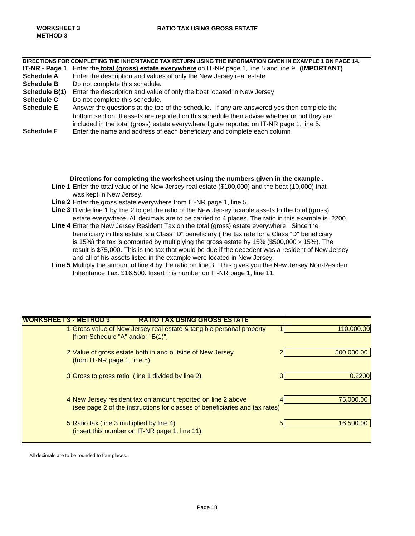|                   | DIRECTIONS FOR COMPLETING THE INHERITANCE TAX RETURN USING THE INFORMATION GIVEN IN EXAMPLE 1 ON PAGE 14. |  |  |  |
|-------------------|-----------------------------------------------------------------------------------------------------------|--|--|--|
| IT-NR - Page 1    | Enter the total (gross) estate everywhere on IT-NR page 1, line 5 and line 9. (IMPORTANT)                 |  |  |  |
| <b>Schedule A</b> | Enter the description and values of only the New Jersey real estate                                       |  |  |  |
| <b>Schedule B</b> | Do not complete this schedule.                                                                            |  |  |  |
| Schedule B(1)     | Enter the description and value of only the boat located in New Jersey                                    |  |  |  |
| <b>Schedule C</b> | Do not complete this schedule.                                                                            |  |  |  |
| <b>Schedule E</b> | Answer the questions at the top of the schedule. If any are answered yes then complete the                |  |  |  |
|                   | bottom section. If assets are reported on this schedule then advise whether or not they are               |  |  |  |
|                   | included in the total (gross) estate everywhere figure reported on IT-NR page 1, line 5.                  |  |  |  |
| <b>Schedule F</b> | Enter the name and address of each beneficiary and complete each column                                   |  |  |  |
|                   |                                                                                                           |  |  |  |

## **Directions for completing the worksheet using the numbers given in the example .**

- **Line 1** Enter the total value of the New Jersey real estate (\$100,000) and the boat (10,000) that was kept in New Jersey.
- **Line 2** Enter the gross estate everywhere from IT-NR page 1, line 5.
- **Line 3** Divide line 1 by line 2 to get the ratio of the New Jersey taxable assets to the total (gross) estate everywhere. All decimals are to be carried to 4 places. The ratio in this example is .2200.
- **Line 4** Enter the New Jersey Resident Tax on the total (gross) estate everywhere. Since the beneficiary in this estate is a Class "D" beneficiary ( the tax rate for a Class "D" beneficiary is 15%) the tax is computed by multiplying the gross estate by 15% (\$500,000 x 15%). The result is \$75,000. This is the tax that would be due if the decedent was a resident of New Jersey and all of his assets listed in the example were located in New Jersey.
- **Line 5** Multiply the amount of line 4 by the ratio on line 3. This gives you the New Jersey Non-Residen Inheritance Tax. \$16,500. Insert this number on IT-NR page 1, line 11.

| <b>WORKSHEET 3 - METHOD 3</b> | <b>RATIO TAX USING GROSS ESTATE</b>                                         |            |
|-------------------------------|-----------------------------------------------------------------------------|------------|
|                               | 1 Gross value of New Jersey real estate & tangible personal property        | 110,000.00 |
|                               | [from Schedule "A" and/or "B $(1)$ "]                                       |            |
|                               | 2 Value of gross estate both in and outside of New Jersey                   | 500,000.00 |
| (from IT-NR page 1, line 5)   |                                                                             |            |
|                               | 3 Gross to gross ratio (line 1 divided by line 2)                           | 0.2200     |
|                               |                                                                             |            |
|                               | 4 New Jersey resident tax on amount reported on line 2 above                | 75,000,00  |
|                               | (see page 2 of the instructions for classes of beneficiaries and tax rates) |            |
|                               | 5 Ratio tax (line 3 multiplied by line 4)                                   | 16,500.00  |
|                               | (insert this number on IT-NR page 1, line 11)                               |            |

All decimals are to be rounded to four places.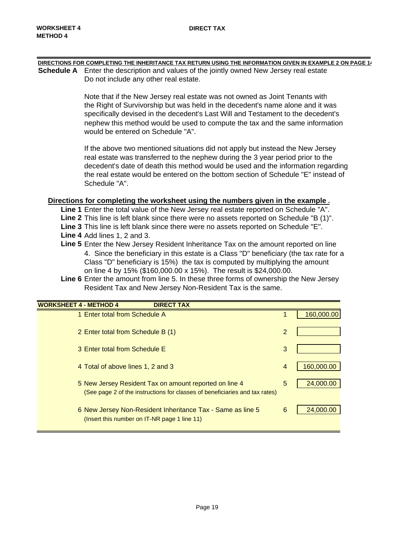| DIRECTIONS FOR COMPLETING THE INHERITANCE TAX RETURN USING THE INFORMATION GIVEN IN EXAMPLE 2 ON PAGE 14 |
|----------------------------------------------------------------------------------------------------------|
| <b>Schedule A</b> Enter the description and values of the jointly owned New Jersey real estate           |
| Do not include any other real estate.                                                                    |
|                                                                                                          |

Note that if the New Jersey real estate was not owned as Joint Tenants with the Right of Survivorship but was held in the decedent's name alone and it was specifically devised in the decedent's Last Will and Testament to the decedent's nephew this method would be used to compute the tax and the same information would be entered on Schedule "A".

If the above two mentioned situations did not apply but instead the New Jersey real estate was transferred to the nephew during the 3 year period prior to the decedent's date of death this method would be used and the information regarding the real estate would be entered on the bottom section of Schedule "E" instead of Schedule "A".

# **Directions for completing the worksheet using the numbers given in the example .**

- **Line 1** Enter the total value of the New Jersey real estate reported on Schedule "A". **Line 2** This line is left blank since there were no assets reported on Schedule "B (1)". **Line 3** This line is left blank since there were no assets reported on Schedule "E".
- **Line 4** Add lines 1, 2 and 3.
- **Line 5** Enter the New Jersey Resident Inheritance Tax on the amount reported on line 4. Since the beneficiary in this estate is a Class "D" beneficiary (the tax rate for a Class "D" beneficiary is 15%) the tax is computed by multiplying the amount on line 4 by 15% (\$160,000.00 x 15%). The result is \$24,000.00.
- **Line 6** Enter the amount from line 5. In these three forms of ownership the New Jersey Resident Tax and New Jersey Non-Resident Tax is the same.

| <b>WORKSHEET 4 - METHOD 4</b><br><b>DIRECT TAX</b>                                                                                    |                |            |
|---------------------------------------------------------------------------------------------------------------------------------------|----------------|------------|
| 1 Enter total from Schedule A                                                                                                         |                | 160,000.00 |
| 2 Enter total from Schedule B (1)                                                                                                     | $\overline{2}$ |            |
| 3 Enter total from Schedule E                                                                                                         | 3              |            |
| 4 Total of above lines 1, 2 and 3                                                                                                     | 4              | 160,000.00 |
| 5 New Jersey Resident Tax on amount reported on line 4<br>(See page 2 of the instructions for classes of beneficiaries and tax rates) | 5              | 24,000.00  |
| 6 New Jersey Non-Resident Inheritance Tax - Same as line 5<br>(Insert this number on IT-NR page 1 line 11)                            | 6              | 24,000.00  |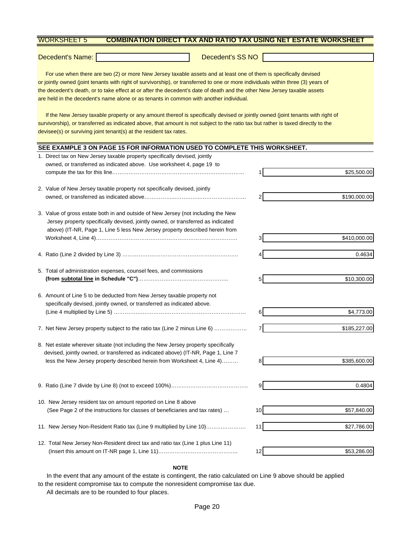#### WORKSHEET 5 **COMBINATION DIRECT TAX AND RATIO TAX USING NET ESTATE WORKSHEET**

Decedent's Name: Decedent's SS NO

 For use when there are two (2) or more New Jersey taxable assets and at least one of them is specifically devised or jointly owned (joint tenants with right of survivorship), or transferred to one or more individuals within three (3) years of the decedent's death, or to take effect at or after the decedent's date of death and the other New Jersey taxable assets are held in the decedent's name alone or as tenants in common with another individual.

 If the New Jersey taxable property or any amount thereof is specifically devised or jointly owned (joint tenants with right of survivorship), or transferred as indicated above, that amount is not subject to the ratio tax but rather is taxed directly to the devisee(s) or surviving joint tenant(s) at the resident tax rates.

## **SEE EXAMPLE 3 ON PAGE 15 FOR INFORMATION USED TO COMPLETE THIS WORKSHEET.**

| 1. Direct tax on New Jersey taxable property specifically devised, jointly                                                                                                                                                                            |                 |              |
|-------------------------------------------------------------------------------------------------------------------------------------------------------------------------------------------------------------------------------------------------------|-----------------|--------------|
| owned, or transferred as indicated above. Use worksheet 4, page 19 to                                                                                                                                                                                 |                 |              |
|                                                                                                                                                                                                                                                       |                 | \$25,500.00  |
| 2. Value of New Jersey taxable property not specifically devised, jointly                                                                                                                                                                             |                 |              |
|                                                                                                                                                                                                                                                       |                 | \$190,000.00 |
| 3. Value of gross estate both in and outside of New Jersey (not including the New<br>Jersey property specifically devised, jointly owned, or transferred as indicated<br>above) (IT-NR, Page 1, Line 5 less New Jersey property described herein from |                 |              |
|                                                                                                                                                                                                                                                       |                 | \$410,000.00 |
|                                                                                                                                                                                                                                                       |                 | 0.4634       |
| 5. Total of administration expenses, counsel fees, and commissions                                                                                                                                                                                    |                 |              |
|                                                                                                                                                                                                                                                       | 5               | \$10,300.00  |
| 6. Amount of Line 5 to be deducted from New Jersey taxable property not<br>specifically devised, jointly owned, or transferred as indicated above.                                                                                                    |                 |              |
|                                                                                                                                                                                                                                                       |                 | \$4,773.00   |
| 7. Net New Jersey property subject to the ratio tax (Line 2 minus Line 6)                                                                                                                                                                             |                 | \$185,227.00 |
| 8. Net estate wherever situate (not including the New Jersey property specifically<br>devised, jointly owned, or transferred as indicated above) (IT-NR, Page 1, Line 7                                                                               |                 |              |
| less the New Jersey property described herein from Worksheet 4, Line 4)                                                                                                                                                                               | 8               | \$385,600.00 |
|                                                                                                                                                                                                                                                       | $\overline{9}$  | 0.4804       |
|                                                                                                                                                                                                                                                       |                 |              |
| 10. New Jersey resident tax on amount reported on Line 8 above                                                                                                                                                                                        |                 |              |
| (See Page 2 of the instructions for classes of beneficiaries and tax rates)                                                                                                                                                                           | 10 <sup>1</sup> | \$57,840.00  |
| 11. New Jersey Non-Resident Ratio tax (Line 9 multiplied by Line 10)                                                                                                                                                                                  | 11              | \$27,786.00  |
| 12. Total New Jersey Non-Resident direct tax and ratio tax (Line 1 plus Line 11)                                                                                                                                                                      |                 |              |
|                                                                                                                                                                                                                                                       | 12              | \$53,286.00  |

#### **NOTE**

In the event that any amount of the estate is contingent, the ratio calculated on Line 9 above should be applied to the resident compromise tax to compute the nonresident compromise tax due. All decimals are to be rounded to four places.